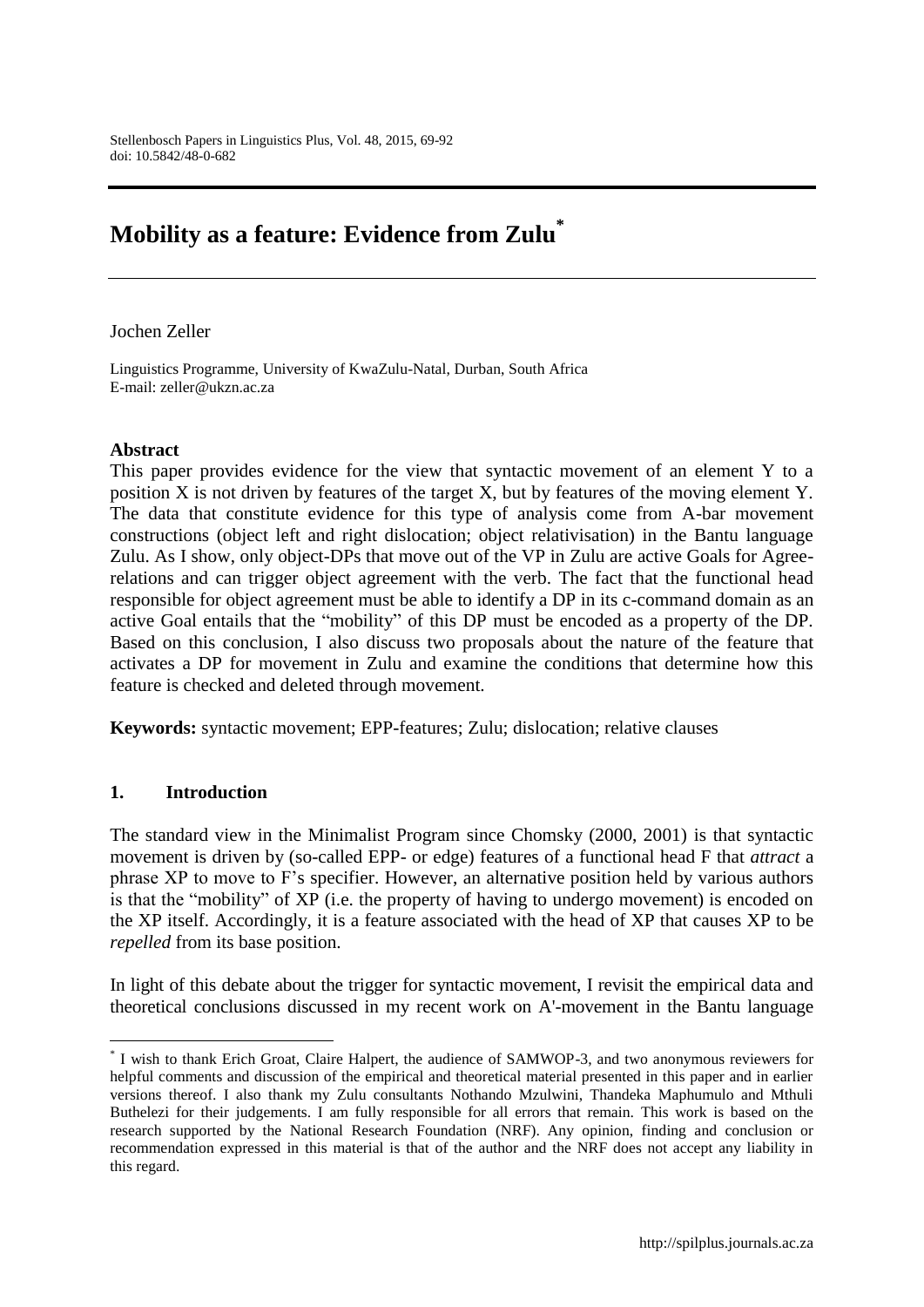# **Mobility as a feature: Evidence from Zulu\***

#### Jochen Zeller

Linguistics Programme, University of KwaZulu-Natal, Durban, South Africa E-mail: zeller@ukzn.ac.za

## **Abstract**

This paper provides evidence for the view that syntactic movement of an element Y to a position X is not driven by features of the target X, but by features of the moving element Y. The data that constitute evidence for this type of analysis come from A-bar movement constructions (object left and right dislocation; object relativisation) in the Bantu language Zulu. As I show, only object-DPs that move out of the VP in Zulu are active Goals for Agreerelations and can trigger object agreement with the verb. The fact that the functional head responsible for object agreement must be able to identify a DP in its c-command domain as an active Goal entails that the "mobility" of this DP must be encoded as a property of the DP. Based on this conclusion, I also discuss two proposals about the nature of the feature that activates a DP for movement in Zulu and examine the conditions that determine how this feature is checked and deleted through movement.

**Keywords:** syntactic movement; EPP-features; Zulu; dislocation; relative clauses

## **1. Introduction**

 $\overline{a}$ 

The standard view in the Minimalist Program since Chomsky (2000, 2001) is that syntactic movement is driven by (so-called EPP- or edge) features of a functional head F that *attract* a phrase XP to move to F"s specifier. However, an alternative position held by various authors is that the "mobility" of XP (i.e. the property of having to undergo movement) is encoded on the XP itself. Accordingly, it is a feature associated with the head of XP that causes XP to be *repelled* from its base position.

In light of this debate about the trigger for syntactic movement, I revisit the empirical data and theoretical conclusions discussed in my recent work on A'-movement in the Bantu language

<sup>\*</sup> I wish to thank Erich Groat, Claire Halpert, the audience of SAMWOP-3, and two anonymous reviewers for helpful comments and discussion of the empirical and theoretical material presented in this paper and in earlier versions thereof. I also thank my Zulu consultants Nothando Mzulwini, Thandeka Maphumulo and Mthuli Buthelezi for their judgements. I am fully responsible for all errors that remain. This work is based on the research supported by the National Research Foundation (NRF). Any opinion, finding and conclusion or recommendation expressed in this material is that of the author and the NRF does not accept any liability in this regard.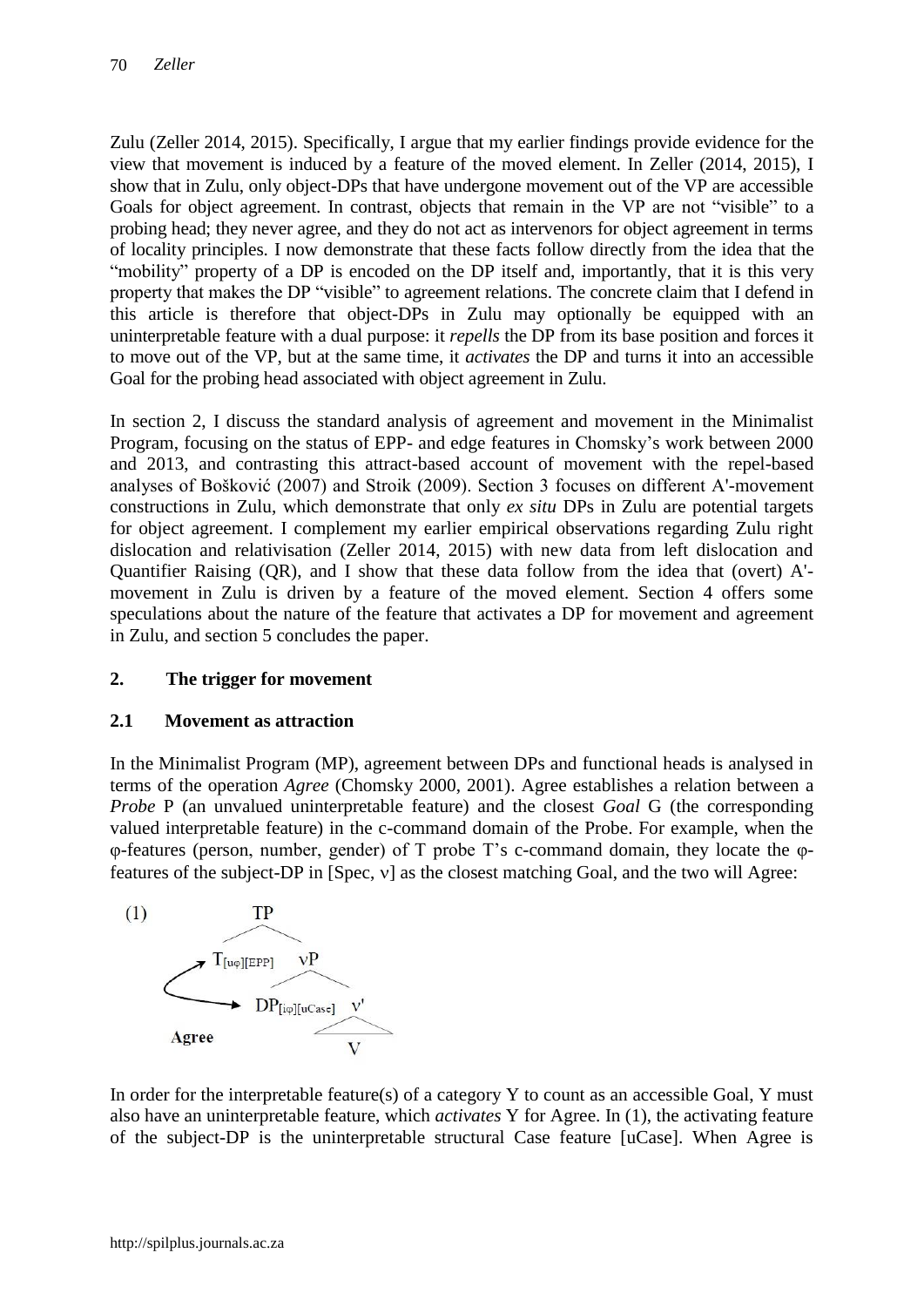Zulu (Zeller 2014, 2015). Specifically, I argue that my earlier findings provide evidence for the view that movement is induced by a feature of the moved element. In Zeller (2014, 2015), I show that in Zulu, only object-DPs that have undergone movement out of the VP are accessible Goals for object agreement. In contrast, objects that remain in the VP are not "visible" to a probing head; they never agree, and they do not act as intervenors for object agreement in terms of locality principles. I now demonstrate that these facts follow directly from the idea that the "mobility" property of a DP is encoded on the DP itself and, importantly, that it is this very property that makes the DP "visible" to agreement relations. The concrete claim that I defend in this article is therefore that object-DPs in Zulu may optionally be equipped with an uninterpretable feature with a dual purpose: it *repells* the DP from its base position and forces it to move out of the VP, but at the same time, it *activates* the DP and turns it into an accessible Goal for the probing head associated with object agreement in Zulu.

In section 2, I discuss the standard analysis of agreement and movement in the Minimalist Program, focusing on the status of EPP- and edge features in Chomsky"s work between 2000 and 2013, and contrasting this attract-based account of movement with the repel-based analyses of Bošković (2007) and Stroik (2009). Section 3 focuses on different A'-movement constructions in Zulu, which demonstrate that only *ex situ* DPs in Zulu are potential targets for object agreement. I complement my earlier empirical observations regarding Zulu right dislocation and relativisation (Zeller 2014, 2015) with new data from left dislocation and Quantifier Raising (QR), and I show that these data follow from the idea that (overt) A' movement in Zulu is driven by a feature of the moved element. Section 4 offers some speculations about the nature of the feature that activates a DP for movement and agreement in Zulu, and section 5 concludes the paper.

## **2. The trigger for movement**

## **2.1 Movement as attraction**

In the Minimalist Program (MP), agreement between DPs and functional heads is analysed in terms of the operation *Agree* (Chomsky 2000, 2001). Agree establishes a relation between a *Probe* P (an unvalued uninterpretable feature) and the closest *Goal* G (the corresponding valued interpretable feature) in the c-command domain of the Probe. For example, when the φ-features (person, number, gender) of T probe T"s c-command domain, they locate the φfeatures of the subject-DP in [Spec,  $v$ ] as the closest matching Goal, and the two will Agree:



In order for the interpretable feature(s) of a category Y to count as an accessible Goal, Y must also have an uninterpretable feature, which *activates* Y for Agree. In (1), the activating feature of the subject-DP is the uninterpretable structural Case feature [uCase]. When Agree is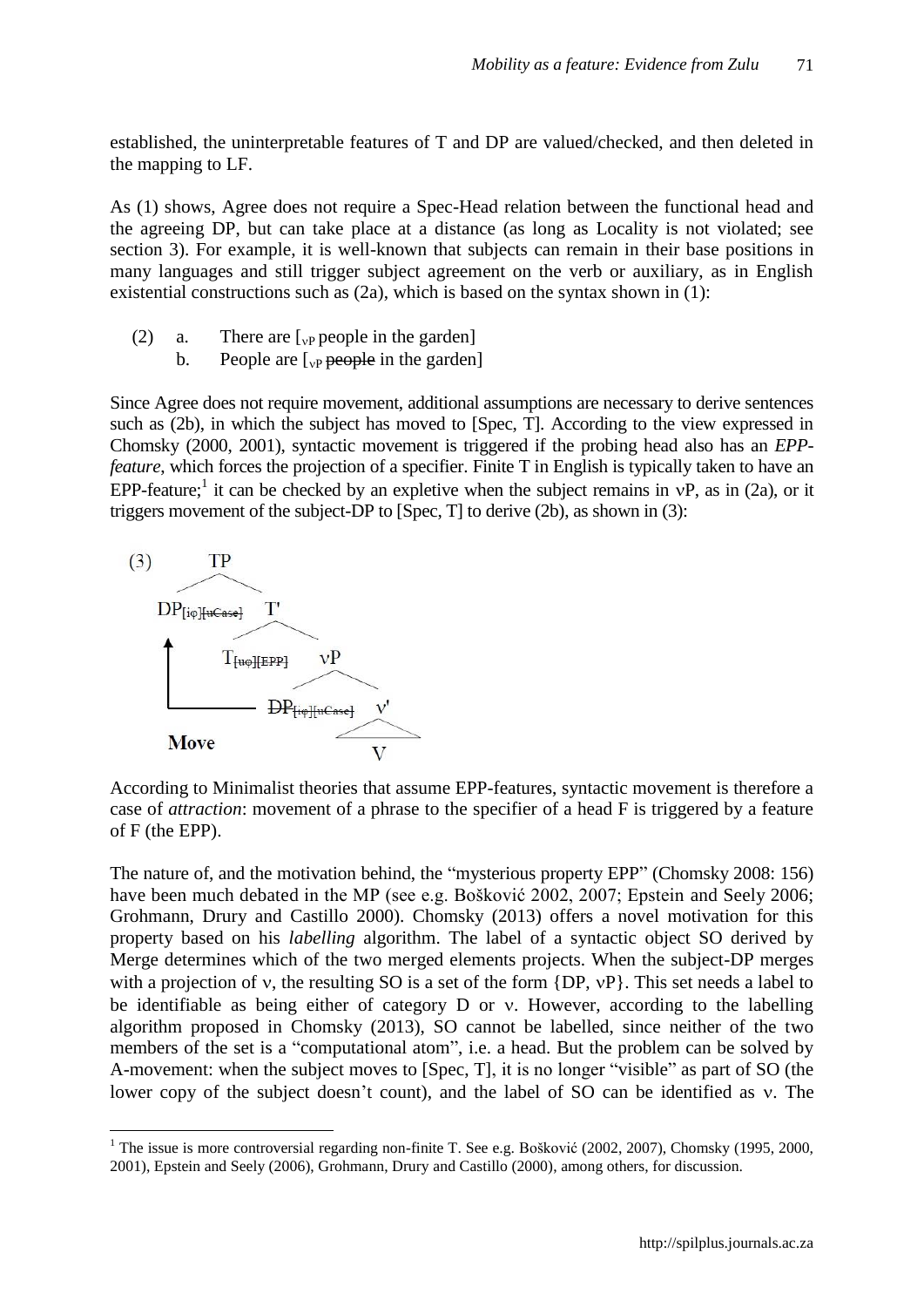established, the uninterpretable features of T and DP are valued/checked, and then deleted in the mapping to LF.

As (1) shows, Agree does not require a Spec-Head relation between the functional head and the agreeing DP, but can take place at a distance (as long as Locality is not violated; see section 3). For example, it is well-known that subjects can remain in their base positions in many languages and still trigger subject agreement on the verb or auxiliary, as in English existential constructions such as (2a), which is based on the syntax shown in (1):

- (2) a. There are  $\lceil_{v}$  people in the garden]
	- b. People are  $\lceil_{\text{VP}}$  people in the garden]

Since Agree does not require movement, additional assumptions are necessary to derive sentences such as (2b), in which the subject has moved to [Spec, T]. According to the view expressed in Chomsky (2000, 2001), syntactic movement is triggered if the probing head also has an *EPPfeature*, which forces the projection of a specifier. Finite T in English is typically taken to have an EPP-feature;<sup>1</sup> it can be checked by an expletive when the subject remains in  $vP$ , as in (2a), or it triggers movement of the subject-DP to [Spec, T] to derive (2b), as shown in (3):



 $\overline{a}$ 

According to Minimalist theories that assume EPP-features, syntactic movement is therefore a case of *attraction*: movement of a phrase to the specifier of a head F is triggered by a feature of F (the EPP).

The nature of, and the motivation behind, the "mysterious property EPP" (Chomsky 2008: 156) have been much debated in the MP (see e.g. Bošković 2002, 2007; Epstein and Seely 2006; Grohmann, Drury and Castillo 2000). Chomsky (2013) offers a novel motivation for this property based on his *labelling* algorithm. The label of a syntactic object SO derived by Merge determines which of the two merged elements projects. When the subject-DP merges with a projection of v, the resulting SO is a set of the form  $\{DP, vP\}$ . This set needs a label to be identifiable as being either of category  $D$  or  $v$ . However, according to the labelling algorithm proposed in Chomsky (2013), SO cannot be labelled, since neither of the two members of the set is a "computational atom", i.e. a head. But the problem can be solved by A-movement: when the subject moves to [Spec, T], it is no longer "visible" as part of SO (the lower copy of the subject doesn't count), and the label of SO can be identified as v. The

<sup>&</sup>lt;sup>1</sup> The issue is more controversial regarding non-finite T. See e.g. Bošković (2002, 2007), Chomsky (1995, 2000, 2001), Epstein and Seely (2006), Grohmann, Drury and Castillo (2000), among others, for discussion.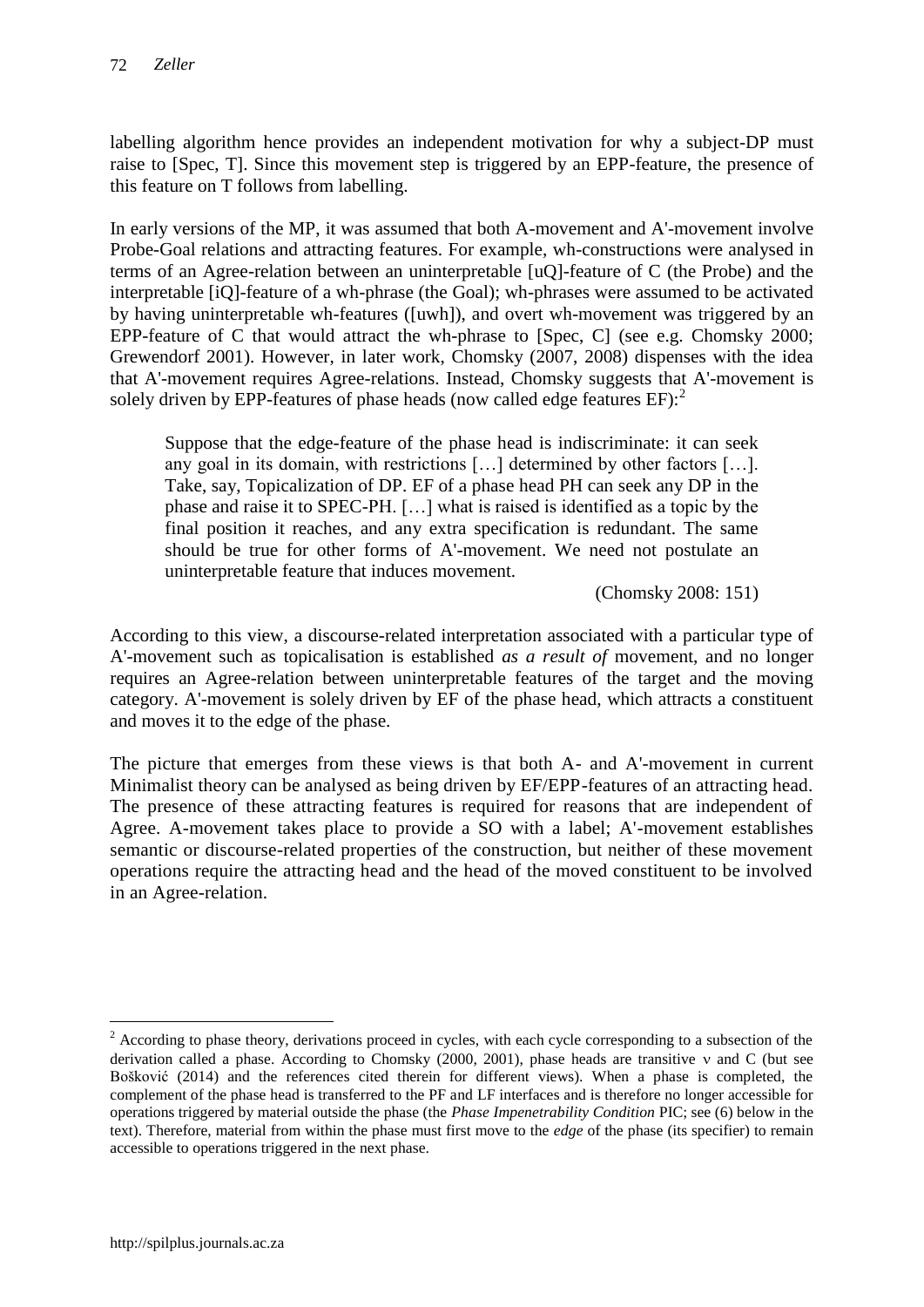labelling algorithm hence provides an independent motivation for why a subject-DP must raise to [Spec, T]. Since this movement step is triggered by an EPP-feature, the presence of this feature on T follows from labelling.

In early versions of the MP, it was assumed that both A-movement and A'-movement involve Probe-Goal relations and attracting features. For example, wh-constructions were analysed in terms of an Agree-relation between an uninterpretable [uQ]-feature of C (the Probe) and the interpretable [iQ]-feature of a wh-phrase (the Goal); wh-phrases were assumed to be activated by having uninterpretable wh-features ([uwh]), and overt wh-movement was triggered by an EPP-feature of C that would attract the wh-phrase to [Spec, C] (see e.g. Chomsky 2000; Grewendorf 2001). However, in later work, Chomsky (2007, 2008) dispenses with the idea that A'-movement requires Agree-relations. Instead, Chomsky suggests that A'-movement is solely driven by EPP-features of phase heads (now called edge features  $EF$ ):<sup>2</sup>

Suppose that the edge-feature of the phase head is indiscriminate: it can seek any goal in its domain, with restrictions […] determined by other factors […]. Take, say, Topicalization of DP. EF of a phase head PH can seek any DP in the phase and raise it to SPEC-PH. […] what is raised is identified as a topic by the final position it reaches, and any extra specification is redundant. The same should be true for other forms of A'-movement. We need not postulate an uninterpretable feature that induces movement.

(Chomsky 2008: 151)

According to this view, a discourse-related interpretation associated with a particular type of A'-movement such as topicalisation is established *as a result of* movement, and no longer requires an Agree-relation between uninterpretable features of the target and the moving category. A'-movement is solely driven by EF of the phase head, which attracts a constituent and moves it to the edge of the phase.

The picture that emerges from these views is that both A- and A'-movement in current Minimalist theory can be analysed as being driven by EF/EPP-features of an attracting head. The presence of these attracting features is required for reasons that are independent of Agree. A-movement takes place to provide a SO with a label; A'-movement establishes semantic or discourse-related properties of the construction, but neither of these movement operations require the attracting head and the head of the moved constituent to be involved in an Agree-relation.

<sup>&</sup>lt;sup>2</sup> According to phase theory, derivations proceed in cycles, with each cycle corresponding to a subsection of the derivation called a phase. According to Chomsky (2000, 2001), phase heads are transitive  $\nu$  and C (but see Bošković (2014) and the references cited therein for different views). When a phase is completed, the complement of the phase head is transferred to the PF and LF interfaces and is therefore no longer accessible for operations triggered by material outside the phase (the *Phase Impenetrability Condition* PIC; see (6) below in the text). Therefore, material from within the phase must first move to the *edge* of the phase (its specifier) to remain accessible to operations triggered in the next phase.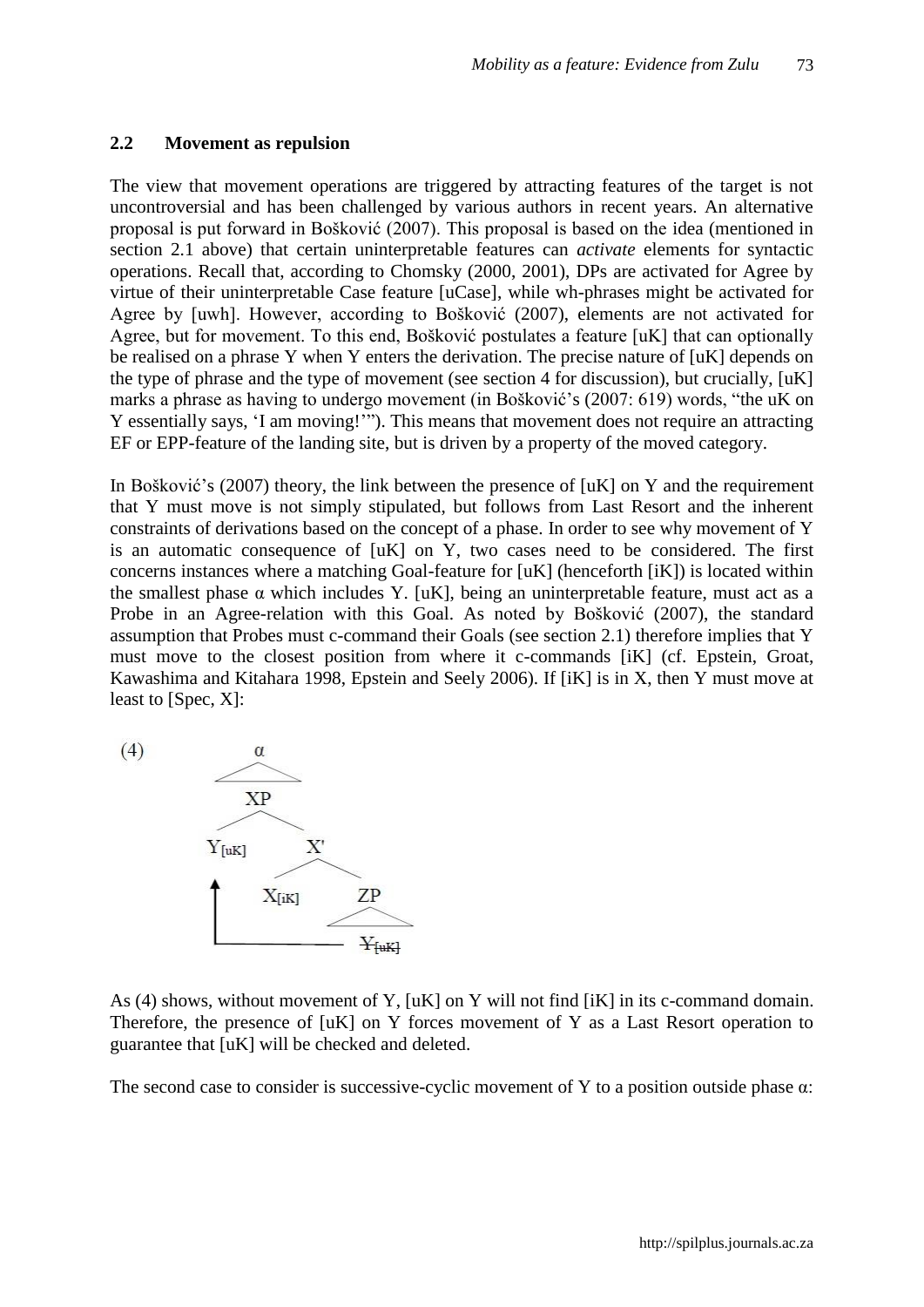#### **2.2 Movement as repulsion**

The view that movement operations are triggered by attracting features of the target is not uncontroversial and has been challenged by various authors in recent years. An alternative proposal is put forward in Bošković (2007). This proposal is based on the idea (mentioned in section 2.1 above) that certain uninterpretable features can *activate* elements for syntactic operations. Recall that, according to Chomsky (2000, 2001), DPs are activated for Agree by virtue of their uninterpretable Case feature [uCase], while wh-phrases might be activated for Agree by [uwh]. However, according to Bošković (2007), elements are not activated for Agree, but for movement. To this end, Bošković postulates a feature [uK] that can optionally be realised on a phrase Y when Y enters the derivation. The precise nature of [uK] depends on the type of phrase and the type of movement (see section 4 for discussion), but crucially, [uK] marks a phrase as having to undergo movement (in Bošković"s (2007: 619) words, "the uK on Y essentially says, "I am moving!""). This means that movement does not require an attracting EF or EPP-feature of the landing site, but is driven by a property of the moved category.

In Bošković's (2007) theory, the link between the presence of  $\lceil uK \rceil$  on Y and the requirement that Y must move is not simply stipulated, but follows from Last Resort and the inherent constraints of derivations based on the concept of a phase. In order to see why movement of Y is an automatic consequence of [uK] on Y, two cases need to be considered. The first concerns instances where a matching Goal-feature for [uK] (henceforth [iK]) is located within the smallest phase  $\alpha$  which includes Y. [uK], being an uninterpretable feature, must act as a Probe in an Agree-relation with this Goal. As noted by Bošković (2007), the standard assumption that Probes must c-command their Goals (see section 2.1) therefore implies that Y must move to the closest position from where it c-commands [iK] (cf. Epstein, Groat, Kawashima and Kitahara 1998, Epstein and Seely 2006). If [iK] is in X, then Y must move at least to [Spec, X]:



As (4) shows, without movement of Y, [uK] on Y will not find [iK] in its c-command domain. Therefore, the presence of [uK] on Y forces movement of Y as a Last Resort operation to guarantee that [uK] will be checked and deleted.

The second case to consider is successive-cyclic movement of Y to a position outside phase  $\alpha$ :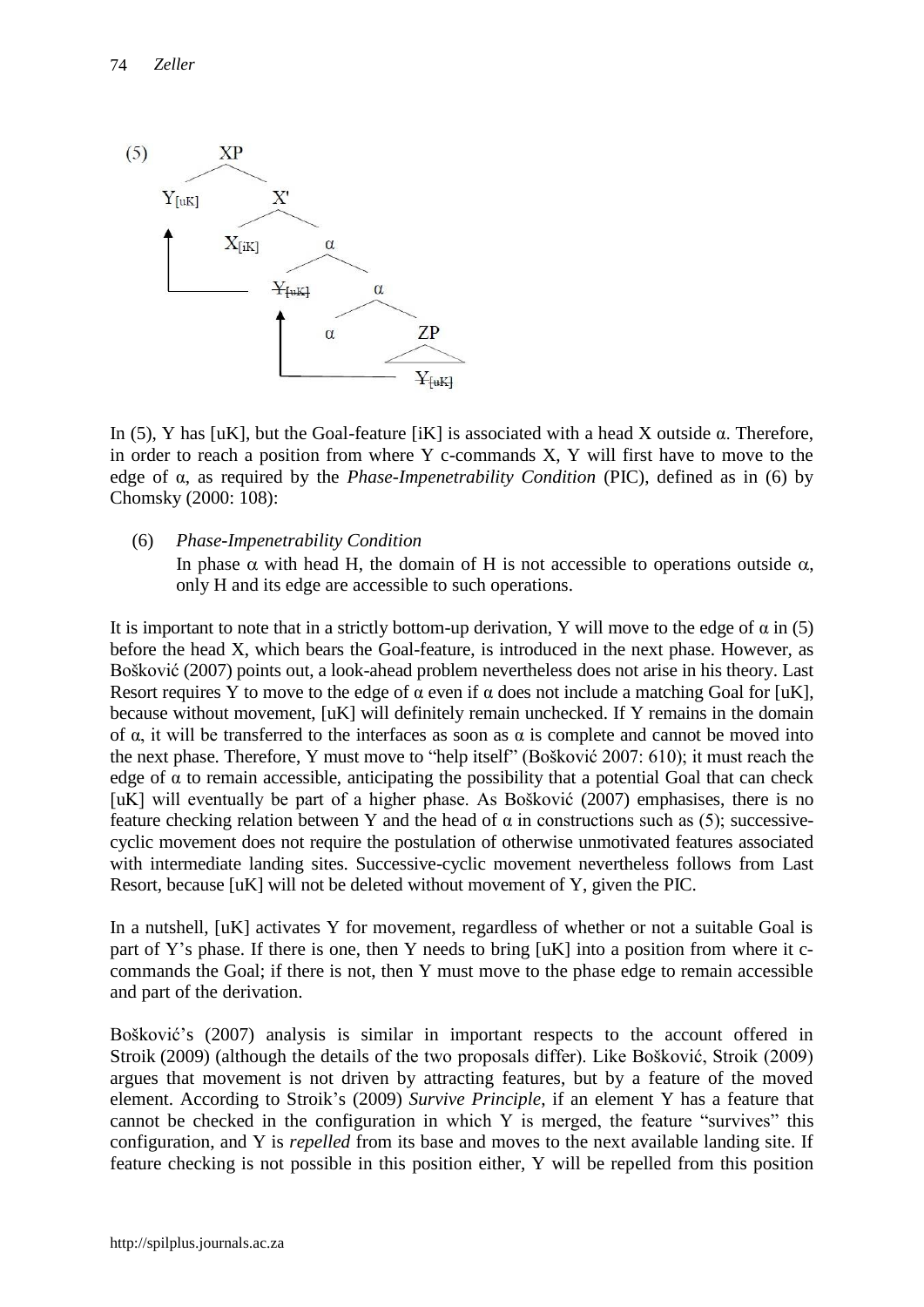

In (5), Y has [uK], but the Goal-feature [iK] is associated with a head X outside α. Therefore, in order to reach a position from where Y c-commands X, Y will first have to move to the edge of α, as required by the *Phase-Impenetrability Condition* (PIC), defined as in (6) by Chomsky (2000: 108):

(6) *Phase-Impenetrability Condition* In phase  $\alpha$  with head H, the domain of H is not accessible to operations outside  $\alpha$ , only H and its edge are accessible to such operations.

It is important to note that in a strictly bottom-up derivation, Y will move to the edge of  $\alpha$  in (5) before the head X, which bears the Goal-feature, is introduced in the next phase. However, as Bošković (2007) points out, a look-ahead problem nevertheless does not arise in his theory. Last Resort requires Y to move to the edge of  $\alpha$  even if  $\alpha$  does not include a matching Goal for [uK], because without movement, [uK] will definitely remain unchecked. If Y remains in the domain of α, it will be transferred to the interfaces as soon as α is complete and cannot be moved into the next phase. Therefore, Y must move to "help itself" (Bošković 2007: 610); it must reach the edge of  $\alpha$  to remain accessible, anticipating the possibility that a potential Goal that can check [uK] will eventually be part of a higher phase. As Bošković (2007) emphasises, there is no feature checking relation between Y and the head of  $\alpha$  in constructions such as (5); successivecyclic movement does not require the postulation of otherwise unmotivated features associated with intermediate landing sites. Successive-cyclic movement nevertheless follows from Last Resort, because [uK] will not be deleted without movement of Y, given the PIC.

In a nutshell, [uK] activates Y for movement, regardless of whether or not a suitable Goal is part of Y"s phase. If there is one, then Y needs to bring [uK] into a position from where it ccommands the Goal; if there is not, then Y must move to the phase edge to remain accessible and part of the derivation.

Bošković"s (2007) analysis is similar in important respects to the account offered in Stroik (2009) (although the details of the two proposals differ). Like Bošković, Stroik (2009) argues that movement is not driven by attracting features, but by a feature of the moved element. According to Stroik"s (2009) *Survive Principle*, if an element Y has a feature that cannot be checked in the configuration in which Y is merged, the feature "survives" this configuration, and Y is *repelled* from its base and moves to the next available landing site. If feature checking is not possible in this position either, Y will be repelled from this position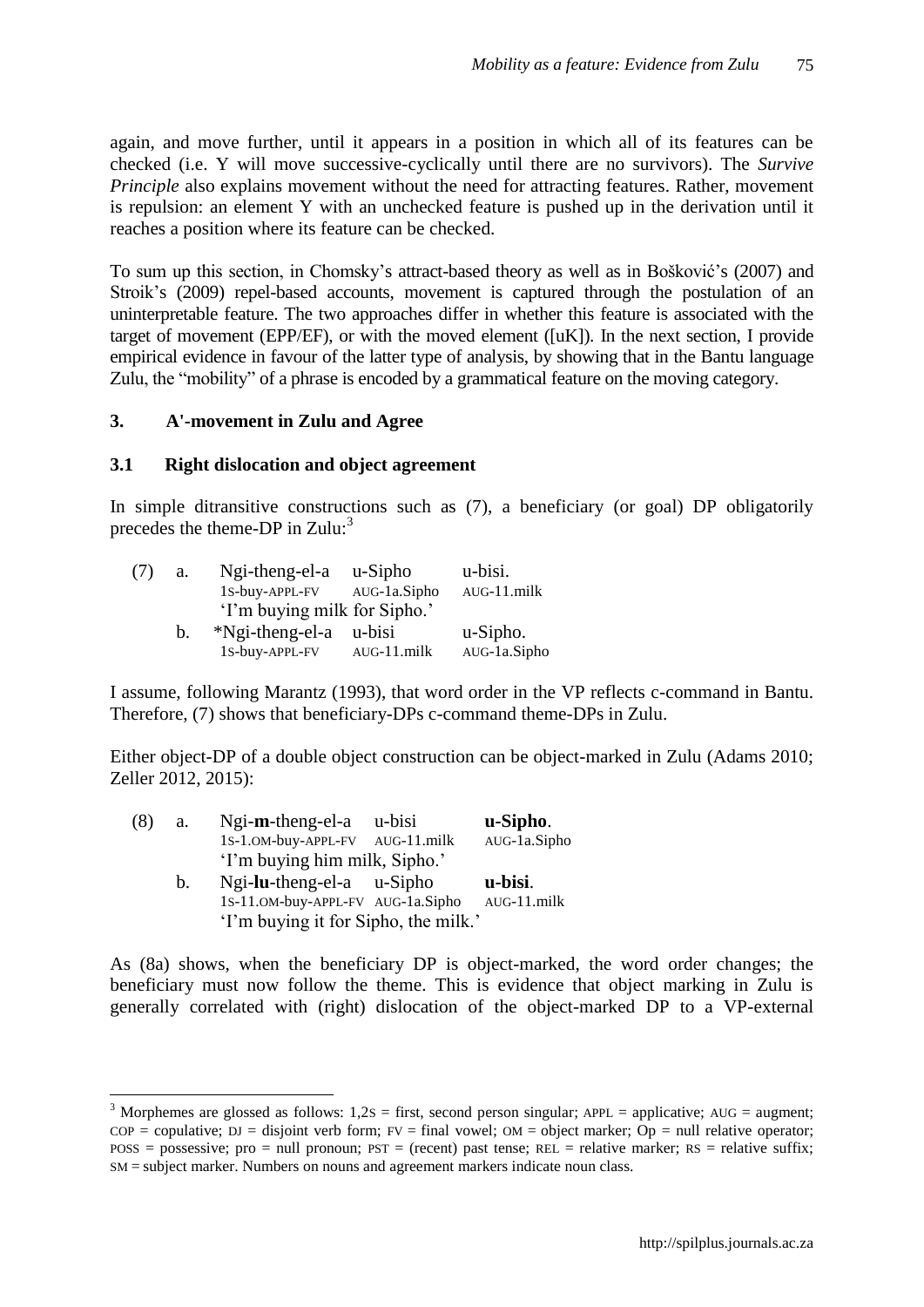again, and move further, until it appears in a position in which all of its features can be checked (i.e. Y will move successive-cyclically until there are no survivors). The *Survive Principle* also explains movement without the need for attracting features. Rather, movement is repulsion: an element Y with an unchecked feature is pushed up in the derivation until it reaches a position where its feature can be checked.

To sum up this section, in Chomsky"s attract-based theory as well as in Bošković"s (2007) and Stroik's (2009) repel-based accounts, movement is captured through the postulation of an uninterpretable feature. The two approaches differ in whether this feature is associated with the target of movement (EPP/EF), or with the moved element ([uK]). In the next section, I provide empirical evidence in favour of the latter type of analysis, by showing that in the Bantu language Zulu, the "mobility" of a phrase is encoded by a grammatical feature on the moving category.

## **3. A'-movement in Zulu and Agree**

 $\overline{a}$ 

#### **3.1 Right dislocation and object agreement**

In simple ditransitive constructions such as (7), a beneficiary (or goal) DP obligatorily precedes the theme-DP in  $Zulu:$ <sup>3</sup>

| (7) | a. | Ngi-theng-el-a               | u-Sipho        | u-bisi.      |
|-----|----|------------------------------|----------------|--------------|
|     |    | 1S-buy-APPL-FV               | AUG-1a.Sipho   | AUG-11.milk  |
|     |    | 'I'm buying milk for Sipho.' |                |              |
|     | b. | $Ngi-theng-el-a$ u-bisi      |                | u-Sipho.     |
|     |    | 1S-buy-APPL-FV               | $AUG-11$ .milk | AUG-1a.Sipho |

I assume, following Marantz (1993), that word order in the VP reflects c-command in Bantu. Therefore, (7) shows that beneficiary-DPs c-command theme-DPs in Zulu.

Either object-DP of a double object construction can be object-marked in Zulu (Adams 2010; Zeller 2012, 2015):

| (8) | a.             | $Ngi-m-theng-el-a$                   | u-bisi | u-Sipho.       |
|-----|----------------|--------------------------------------|--------|----------------|
|     |                | 1S-1.0M-buy-APPL-FV AUG-11.milk      |        | AUG-1a.Sipho   |
|     |                | 'I'm buying him milk, Sipho.'        |        |                |
|     | $\mathbf{b}$ . | $Ngi$ -lu-theng-el-a $u$ -Sipho      |        | u-bisi.        |
|     |                | 1S-11.0M-buy-APPL-FV AUG-1a.Sipho    |        | $AUG-11$ .milk |
|     |                | 'I'm buying it for Sipho, the milk.' |        |                |

As (8a) shows, when the beneficiary DP is object-marked, the word order changes; the beneficiary must now follow the theme. This is evidence that object marking in Zulu is generally correlated with (right) dislocation of the object-marked DP to a VP-external

<sup>&</sup>lt;sup>3</sup> Morphemes are glossed as follows:  $1,2s =$  first, second person singular; APPL = applicative; AUG = augment;  $COP = \text{couulative}; \ DJ = \text{disjoint verb form}; \ FV = \text{final vowel}; \ OM = \text{object marker}; \ \ \text{Op} = \text{null relative operator};$  $Poss = possessive$ ; pro = null pronoun;  $PST = (recent)$  past tense;  $REL = relative$  marker;  $RS = relative$  suffix; SM = subject marker. Numbers on nouns and agreement markers indicate noun class.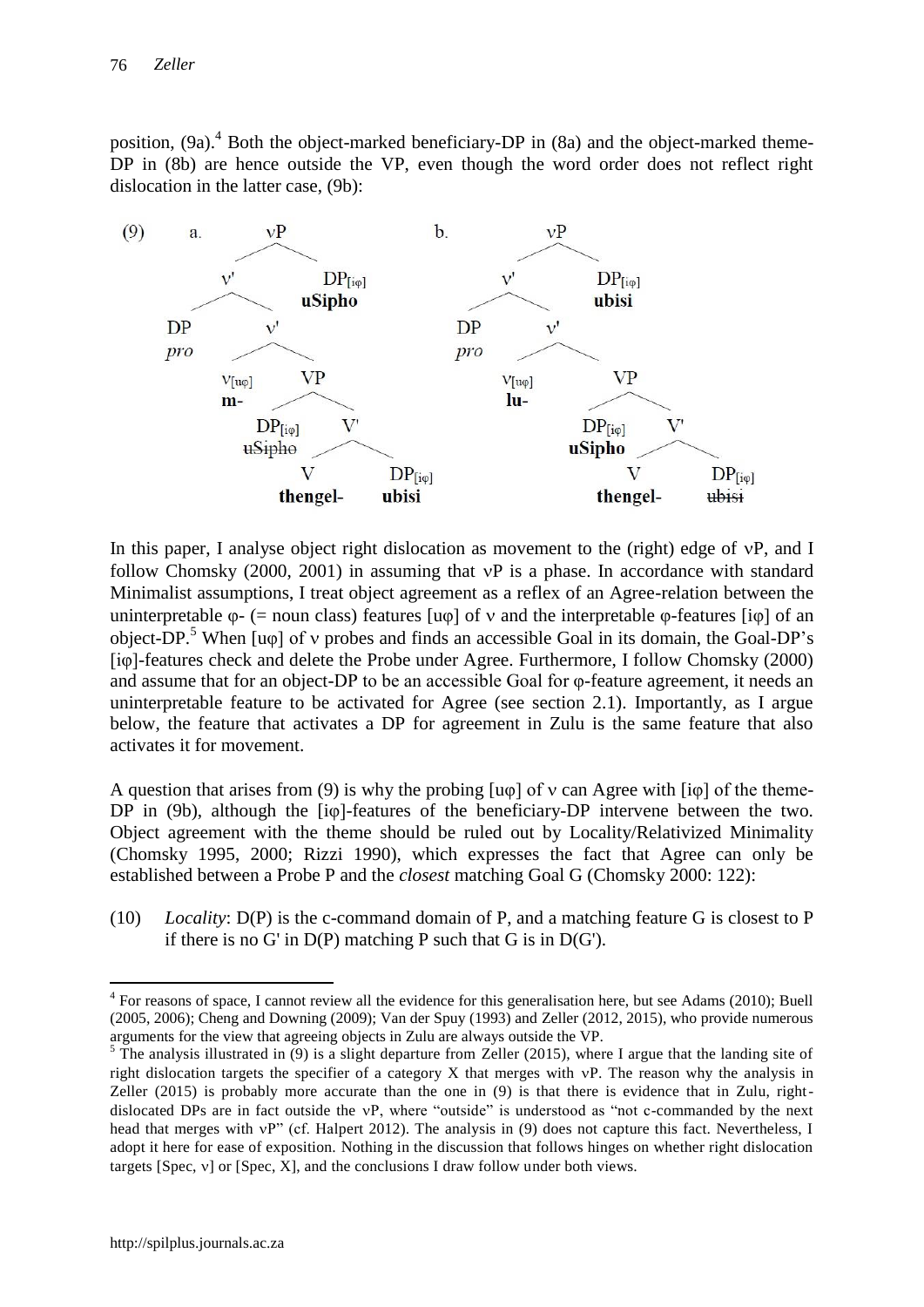position, (9a).<sup>4</sup> Both the object-marked beneficiary-DP in (8a) and the object-marked theme-DP in (8b) are hence outside the VP, even though the word order does not reflect right dislocation in the latter case, (9b):



In this paper, I analyse object right dislocation as movement to the (right) edge of vP, and I follow Chomsky  $(2000, 2001)$  in assuming that  $vP$  is a phase. In accordance with standard Minimalist assumptions, I treat object agreement as a reflex of an Agree-relation between the uninterpretable  $\varphi$ - (= noun class) features [u $\varphi$ ] of v and the interpretable  $\varphi$ -features [i $\varphi$ ] of an object-DP.<sup>5</sup> When  $\lceil \text{u}\varphi \rceil$  of v probes and finds an accessible Goal in its domain, the Goal-DP's [iφ]-features check and delete the Probe under Agree. Furthermore, I follow Chomsky (2000) and assume that for an object-DP to be an accessible Goal for φ-feature agreement, it needs an uninterpretable feature to be activated for Agree (see section 2.1). Importantly, as I argue below, the feature that activates a DP for agreement in Zulu is the same feature that also activates it for movement.

A question that arises from (9) is why the probing  $[u\varphi]$  of v can Agree with  $[i\varphi]$  of the theme-DP in (9b), although the [iφ]-features of the beneficiary-DP intervene between the two. Object agreement with the theme should be ruled out by Locality/Relativized Minimality (Chomsky 1995, 2000; Rizzi 1990), which expresses the fact that Agree can only be established between a Probe P and the *closest* matching Goal G (Chomsky 2000: 122):

(10) *Locality*: D(P) is the c-command domain of P, and a matching feature G is closest to P if there is no G' in  $D(P)$  matching P such that G is in  $D(G')$ .

 $4$  For reasons of space, I cannot review all the evidence for this generalisation here, but see Adams (2010); Buell (2005, 2006); Cheng and Downing (2009); Van der Spuy (1993) and Zeller (2012, 2015), who provide numerous arguments for the view that agreeing objects in Zulu are always outside the VP.

 $\frac{5}{3}$  The analysis illustrated in (9) is a slight departure from Zeller (2015), where I argue that the landing site of right dislocation targets the specifier of a category  $X$  that merges with  $vP$ . The reason why the analysis in Zeller (2015) is probably more accurate than the one in (9) is that there is evidence that in Zulu, rightdislocated DPs are in fact outside the vP, where "outside" is understood as "not c-commanded by the next head that merges with vP" (cf. Halpert 2012). The analysis in (9) does not capture this fact. Nevertheless, I adopt it here for ease of exposition. Nothing in the discussion that follows hinges on whether right dislocation targets [Spec,  $v$ ] or [Spec, X], and the conclusions I draw follow under both views.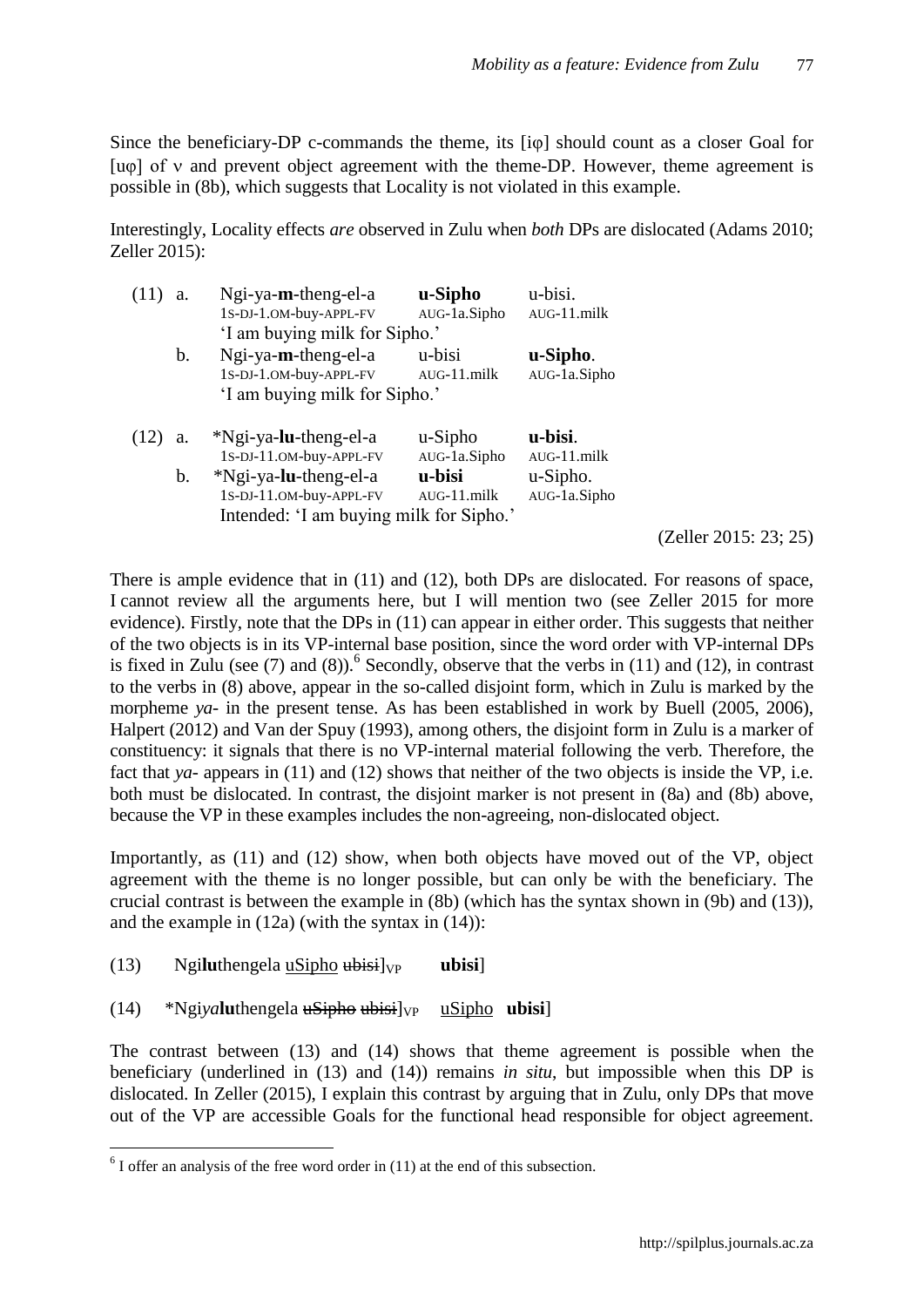Since the beneficiary-DP c-commands the theme, its [i $\varphi$ ] should count as a closer Goal for [u $\varphi$ ] of v and prevent object agreement with the theme-DP. However, theme agreement is possible in (8b), which suggests that Locality is not violated in this example.

Interestingly, Locality effects *are* observed in Zulu when *both* DPs are dislocated (Adams 2010; Zeller 2015):

| a. | $Ngi$ -ya-m-theng-el-a                                                                                                 | u-Sipho                                 | u-bisi.                                    |
|----|------------------------------------------------------------------------------------------------------------------------|-----------------------------------------|--------------------------------------------|
|    | 1S-DJ-1.OM-buy-APPL-FV                                                                                                 | AUG-1a.Sipho                            | AUG-11.milk                                |
|    | 'I am buying milk for Sipho.'                                                                                          |                                         |                                            |
| b. | $Ngi$ -ya-m-theng-el-a                                                                                                 | u-bisi                                  | u-Sipho.                                   |
|    | 1S-DJ-1.OM-buy-APPL-FV                                                                                                 | $AUG-11$ .milk                          | AUG-1a.Sipho                               |
|    | 'I am buying milk for Sipho.'                                                                                          |                                         |                                            |
|    |                                                                                                                        |                                         |                                            |
| a. | *Ngi-ya-lu-theng-el-a                                                                                                  | $u-Sipho$                               | u-bisi.                                    |
| b. | 1S-DJ-11.OM-buy-APPL-FV<br>*Ngi-ya-lu-theng-el-a<br>1S-DJ-11.OM-buy-APPL-FV<br>Intended: 'I am buying milk for Sipho.' | AUG-1a.Sipho<br>u-bisi<br>$AUG-11$ milk | $AUG-11$ .milk<br>u-Sipho.<br>AUG-1a.Sipho |

(Zeller 2015: 23; 25)

There is ample evidence that in (11) and (12), both DPs are dislocated. For reasons of space, I cannot review all the arguments here, but I will mention two (see Zeller 2015 for more evidence). Firstly, note that the DPs in (11) can appear in either order. This suggests that neither of the two objects is in its VP-internal base position, since the word order with VP-internal DPs is fixed in Zulu (see  $(7)$  and  $(8)$ ).<sup>6</sup> Secondly, observe that the verbs in  $(11)$  and  $(12)$ , in contrast to the verbs in (8) above, appear in the so-called disjoint form, which in Zulu is marked by the morpheme *ya*- in the present tense. As has been established in work by Buell (2005, 2006), Halpert (2012) and Van der Spuy (1993), among others, the disjoint form in Zulu is a marker of constituency: it signals that there is no VP-internal material following the verb. Therefore, the fact that *ya*- appears in (11) and (12) shows that neither of the two objects is inside the VP, i.e. both must be dislocated. In contrast, the disjoint marker is not present in (8a) and (8b) above, because the VP in these examples includes the non-agreeing, non-dislocated object.

Importantly, as (11) and (12) show, when both objects have moved out of the VP, object agreement with the theme is no longer possible, but can only be with the beneficiary. The crucial contrast is between the example in (8b) (which has the syntax shown in (9b) and (13)), and the example in (12a) (with the syntax in (14)):

 $(13)$  Ngiluthengela uSipho  $\frac{1}{10}$ <sub>VP</sub> ubisi

 $\overline{a}$ 

 $(14)$  \*Ngiya**lu**thengela usipho ubisil<sub>VP</sub> uSipho ubisil

The contrast between (13) and (14) shows that theme agreement is possible when the beneficiary (underlined in (13) and (14)) remains *in situ*, but impossible when this DP is dislocated. In Zeller (2015), I explain this contrast by arguing that in Zulu, only DPs that move out of the VP are accessible Goals for the functional head responsible for object agreement.

 $<sup>6</sup>$  I offer an analysis of the free word order in (11) at the end of this subsection.</sup>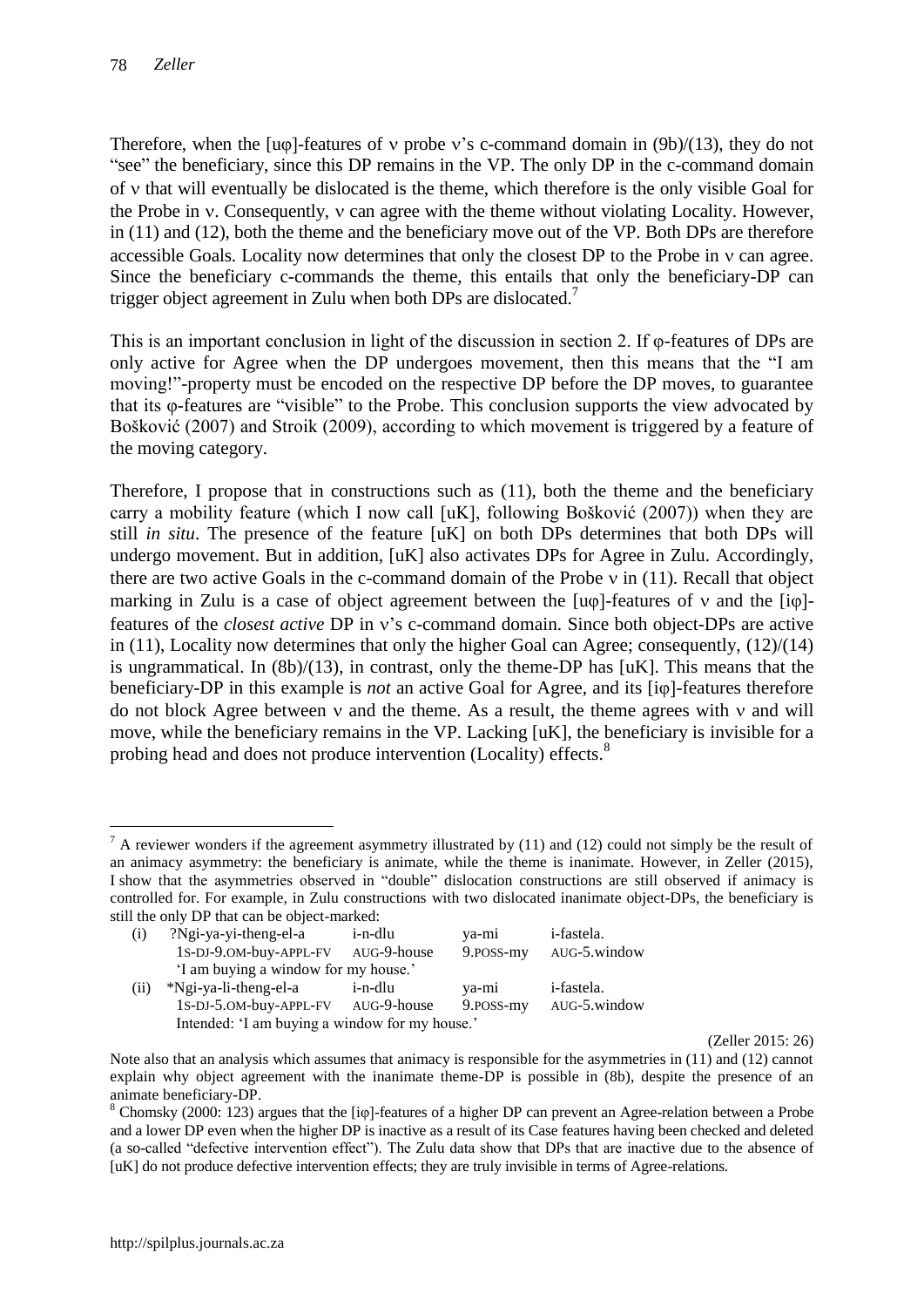Therefore, when the  $[u\varphi]$ -features of v probe v's c-command domain in  $(9b)/(13)$ , they do not "see" the beneficiary, since this DP remains in the VP. The only DP in the c-command domain of v that will eventually be dislocated is the theme, which therefore is the only visible Goal for the Probe in  $\gamma$ . Consequently,  $\gamma$  can agree with the theme without violating Locality. However, in (11) and (12), both the theme and the beneficiary move out of the VP. Both DPs are therefore accessible Goals. Locality now determines that only the closest  $DP$  to the Probe in  $v$  can agree. Since the beneficiary c-commands the theme, this entails that only the beneficiary-DP can trigger object agreement in Zulu when both DPs are dislocated.<sup>7</sup>

This is an important conclusion in light of the discussion in section 2. If φ-features of DPs are only active for Agree when the DP undergoes movement, then this means that the "I am moving!"-property must be encoded on the respective DP before the DP moves, to guarantee that its φ-features are "visible" to the Probe. This conclusion supports the view advocated by Bošković (2007) and Stroik (2009), according to which movement is triggered by a feature of the moving category.

Therefore, I propose that in constructions such as (11), both the theme and the beneficiary carry a mobility feature (which I now call [uK], following Bošković (2007)) when they are still *in situ*. The presence of the feature [uK] on both DPs determines that both DPs will undergo movement. But in addition, [uK] also activates DPs for Agree in Zulu. Accordingly, there are two active Goals in the c-command domain of the Probe  $\nu$  in (11). Recall that object marking in Zulu is a case of object agreement between the  $[u\varphi]$ -features of  $v$  and the  $[i\varphi]$ features of the *closest active* DP in v's c-command domain. Since both object-DPs are active in (11), Locality now determines that only the higher Goal can Agree; consequently, (12)/(14) is ungrammatical. In (8b)/(13), in contrast, only the theme-DP has [uK]. This means that the beneficiary-DP in this example is *not* an active Goal for Agree, and its [iφ]-features therefore do not block Agree between  $v$  and the theme. As a result, the theme agrees with  $v$  and will move, while the beneficiary remains in the VP. Lacking  $[uK]$ , the beneficiary is invisible for a probing head and does not produce intervention (Locality) effects.<sup>8</sup>

 $\overline{a}$  $<sup>7</sup>$  A reviewer wonders if the agreement asymmetry illustrated by (11) and (12) could not simply be the result of</sup> an animacy asymmetry: the beneficiary is animate, while the theme is inanimate. However, in Zeller (2015), I show that the asymmetries observed in "double" dislocation constructions are still observed if animacy is controlled for. For example, in Zulu constructions with two dislocated inanimate object-DPs, the beneficiary is still the only DP that can be object-marked:

| ?Ngi-ya-yi-theng-el-a  | i-n-dlu     | ya-mi                                                                      | <i>i</i> -fastela.                             |
|------------------------|-------------|----------------------------------------------------------------------------|------------------------------------------------|
| 1S-DJ-9.OM-buy-APPL-FV | AUG-9-house | 9. POSS-my                                                                 | AUG-5.window                                   |
|                        |             |                                                                            |                                                |
| *Ngi-ya-li-theng-el-a  | i-n-dlu     | ya-mi                                                                      | <i>i</i> -fastela.                             |
|                        |             | 9. POSS-my                                                                 | AUG-5.window                                   |
|                        |             |                                                                            |                                                |
|                        |             | 'I am buying a window for my house.'<br>1S-DJ-5.0M-buy-APPL-FV AUG-9-house | Intended: 'I am buying a window for my house.' |

(Zeller 2015: 26)

Note also that an analysis which assumes that animacy is responsible for the asymmetries in (11) and (12) cannot explain why object agreement with the inanimate theme-DP is possible in (8b), despite the presence of an animate beneficiary-DP.

<sup>&</sup>lt;sup>8</sup> Chomsky (2000: 123) argues that the [iφ]-features of a higher DP can prevent an Agree-relation between a Probe and a lower DP even when the higher DP is inactive as a result of its Case features having been checked and deleted (a so-called "defective intervention effect"). The Zulu data show that DPs that are inactive due to the absence of [uK] do not produce defective intervention effects; they are truly invisible in terms of Agree-relations.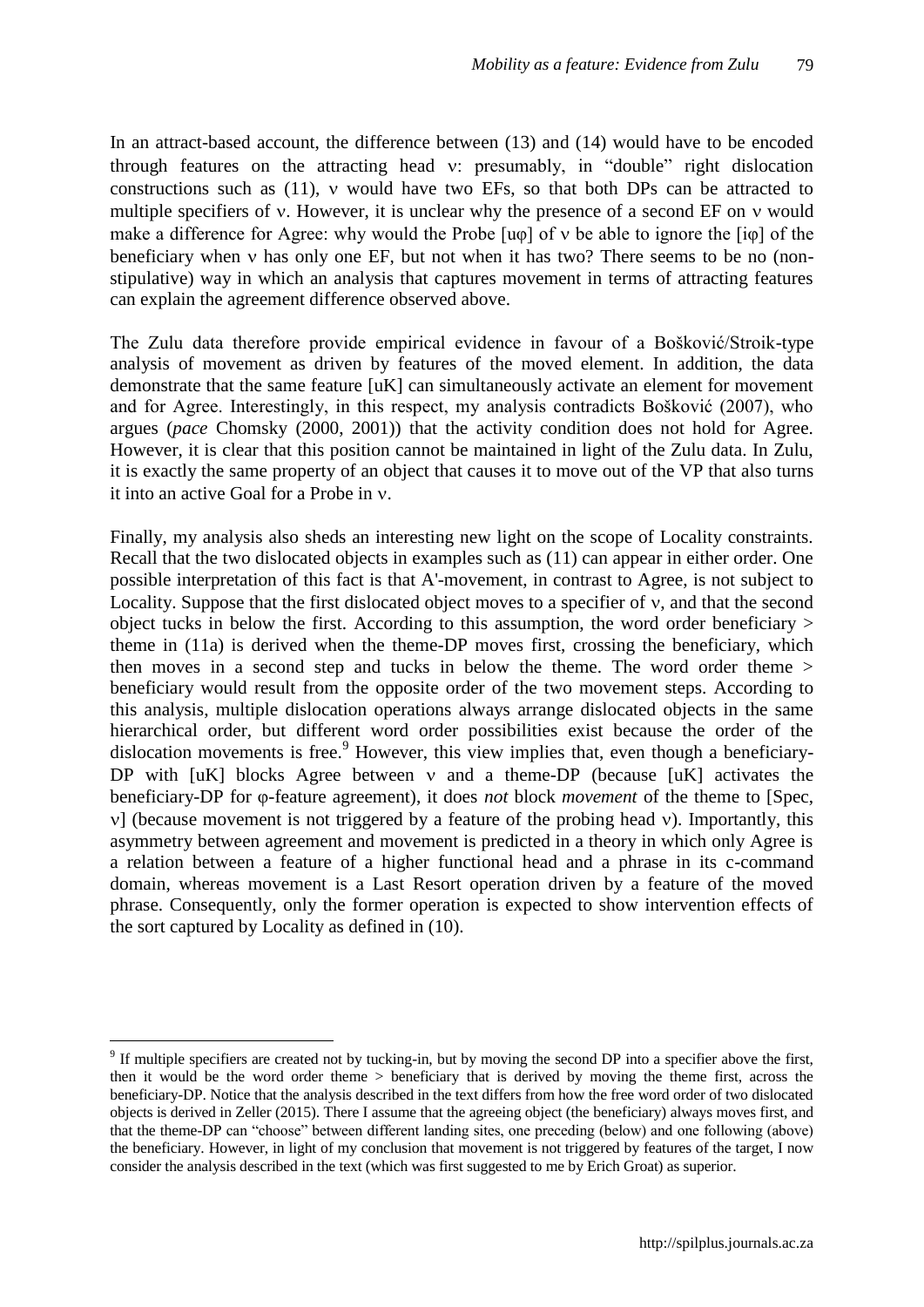In an attract-based account, the difference between (13) and (14) would have to be encoded through features on the attracting head  $v$ : presumably, in "double" right dislocation constructions such as  $(11)$ ,  $\nu$  would have two EFs, so that both DPs can be attracted to multiple specifiers of  $v$ . However, it is unclear why the presence of a second EF on  $v$  would make a difference for Agree: why would the Probe  $\lceil \text{u}_0 \rceil$  of  $v$  be able to ignore the  $\lceil \text{u}_0 \rceil$  of the beneficiary when  $\nu$  has only one EF, but not when it has two? There seems to be no (nonstipulative) way in which an analysis that captures movement in terms of attracting features can explain the agreement difference observed above.

The Zulu data therefore provide empirical evidence in favour of a Bošković/Stroik-type analysis of movement as driven by features of the moved element. In addition, the data demonstrate that the same feature [uK] can simultaneously activate an element for movement and for Agree. Interestingly, in this respect, my analysis contradicts Bošković (2007), who argues (*pace* Chomsky (2000, 2001)) that the activity condition does not hold for Agree. However, it is clear that this position cannot be maintained in light of the Zulu data. In Zulu, it is exactly the same property of an object that causes it to move out of the VP that also turns it into an active Goal for a Probe in  $\nu$ .

Finally, my analysis also sheds an interesting new light on the scope of Locality constraints. Recall that the two dislocated objects in examples such as (11) can appear in either order. One possible interpretation of this fact is that A'-movement, in contrast to Agree, is not subject to Locality. Suppose that the first dislocated object moves to a specifier of  $v$ , and that the second object tucks in below the first. According to this assumption, the word order beneficiary > theme in (11a) is derived when the theme-DP moves first, crossing the beneficiary, which then moves in a second step and tucks in below the theme. The word order theme > beneficiary would result from the opposite order of the two movement steps. According to this analysis, multiple dislocation operations always arrange dislocated objects in the same hierarchical order, but different word order possibilities exist because the order of the dislocation movements is free.<sup>9</sup> However, this view implies that, even though a beneficiary-DP with  $[uK]$  blocks Agree between  $v$  and a theme-DP (because  $[uK]$  activates the beneficiary-DP for φ-feature agreement), it does *not* block *movement* of the theme to [Spec,  $\nu$ ] (because movement is not triggered by a feature of the probing head  $\nu$ ). Importantly, this asymmetry between agreement and movement is predicted in a theory in which only Agree is a relation between a feature of a higher functional head and a phrase in its c-command domain, whereas movement is a Last Resort operation driven by a feature of the moved phrase. Consequently, only the former operation is expected to show intervention effects of the sort captured by Locality as defined in (10).

 $9<sup>9</sup>$  If multiple specifiers are created not by tucking-in, but by moving the second DP into a specifier above the first, then it would be the word order theme > beneficiary that is derived by moving the theme first, across the beneficiary-DP. Notice that the analysis described in the text differs from how the free word order of two dislocated objects is derived in Zeller (2015). There I assume that the agreeing object (the beneficiary) always moves first, and that the theme-DP can "choose" between different landing sites, one preceding (below) and one following (above) the beneficiary. However, in light of my conclusion that movement is not triggered by features of the target, I now consider the analysis described in the text (which was first suggested to me by Erich Groat) as superior.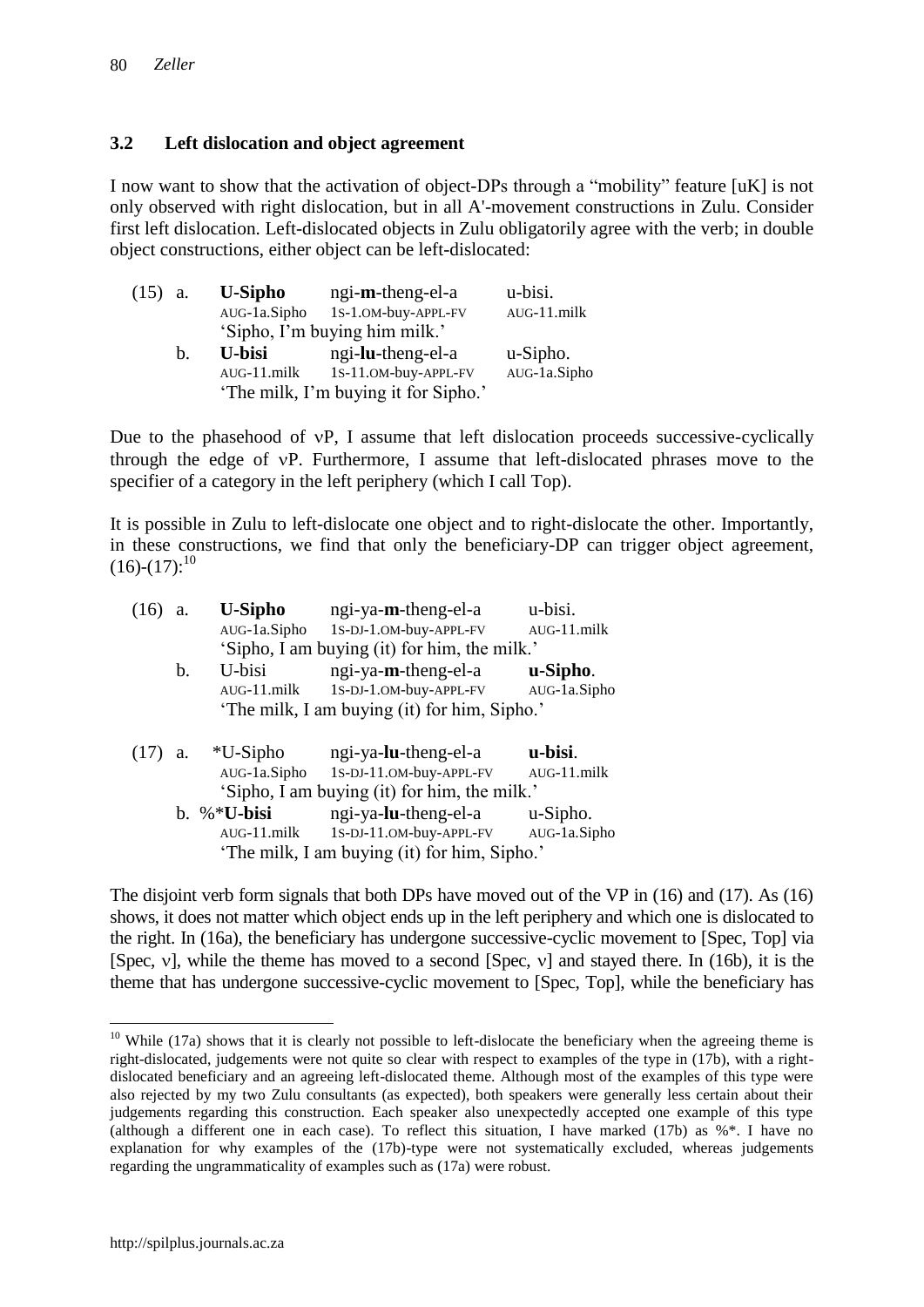## **3.2 Left dislocation and object agreement**

I now want to show that the activation of object-DPs through a "mobility" feature [uK] is not only observed with right dislocation, but in all A'-movement constructions in Zulu. Consider first left dislocation. Left-dislocated objects in Zulu obligatorily agree with the verb; in double object constructions, either object can be left-dislocated:

| $(15)$ a. |             | <b>U-Sipho</b> | ngi-m-theng-el-a                     | u-bisi.        |
|-----------|-------------|----------------|--------------------------------------|----------------|
|           |             | AUG-1a.Sipho   | 1S-1.OM-buy-APPL-FV                  | $AUG-11$ .milk |
|           |             |                | 'Sipho, I'm buying him milk.'        |                |
|           | $h_{\cdot}$ | U-bisi         | ngi-lu-theng-el-a                    | u-Sipho.       |
|           |             | $AUG-11$ .milk | 1S-11.OM-buy-APPL-FV                 | AUG-1a.Sipho   |
|           |             |                | 'The milk, I'm buying it for Sipho.' |                |

Due to the phasehood of  $vP$ , I assume that left dislocation proceeds successive-cyclically through the edge of vP. Furthermore, I assume that left-dislocated phrases move to the specifier of a category in the left periphery (which I call Top).

It is possible in Zulu to left-dislocate one object and to right-dislocate the other. Importantly, in these constructions, we find that only the beneficiary-DP can trigger object agreement,  $(16)-(17):^{10}$ 

|      | a. | <b>U-Sipho</b> | ngi-ya-m-theng-el-a                          | u-bisi.        |
|------|----|----------------|----------------------------------------------|----------------|
|      |    | AUG-1a.Sipho   | 1S-DJ-1.OM-buy-APPL-FV                       | AUG-11.milk    |
|      |    |                | 'Sipho, I am buying (it) for him, the milk.' |                |
|      | b. | U-bisi         | ngi-ya-m-theng-el-a                          | u-Sipho.       |
|      |    | $AUG-11$ .milk | 1S-DJ-1.OM-buy-APPL-FV                       | AUG-1a.Sipho   |
|      |    |                | 'The milk, I am buying (it) for him, Sipho.' |                |
|      |    |                |                                              |                |
|      |    |                |                                              |                |
| (17) | a. | $*U-Sipho$     | ngi-ya-lu-theng-el-a                         | u-bisi.        |
|      |    | AUG-1a.Sipho   | 1S-DJ-11.OM-buy-APPL-FV                      | $AUG-11$ .milk |
|      |    |                | 'Sipho, I am buying (it) for him, the milk.' |                |
|      |    | b. %*U-bisi    | ngi-ya-lu-theng-el-a                         | u-Sipho.       |
|      |    | $AUG-11$ .milk | 1S-DJ-11.OM-buy-APPL-FV                      | AUG-1a.Sipho   |

The disjoint verb form signals that both DPs have moved out of the VP in (16) and (17). As (16) shows, it does not matter which object ends up in the left periphery and which one is dislocated to the right. In (16a), the beneficiary has undergone successive-cyclic movement to [Spec, Top] via [Spec,  $v$ ], while the theme has moved to a second [Spec,  $v$ ] and stayed there. In (16b), it is the theme that has undergone successive-cyclic movement to [Spec, Top], while the beneficiary has

 $10$  While (17a) shows that it is clearly not possible to left-dislocate the beneficiary when the agreeing theme is right-dislocated, judgements were not quite so clear with respect to examples of the type in (17b), with a rightdislocated beneficiary and an agreeing left-dislocated theme. Although most of the examples of this type were also rejected by my two Zulu consultants (as expected), both speakers were generally less certain about their judgements regarding this construction. Each speaker also unexpectedly accepted one example of this type (although a different one in each case). To reflect this situation, I have marked (17b) as %\*. I have no explanation for why examples of the (17b)-type were not systematically excluded, whereas judgements regarding the ungrammaticality of examples such as (17a) were robust.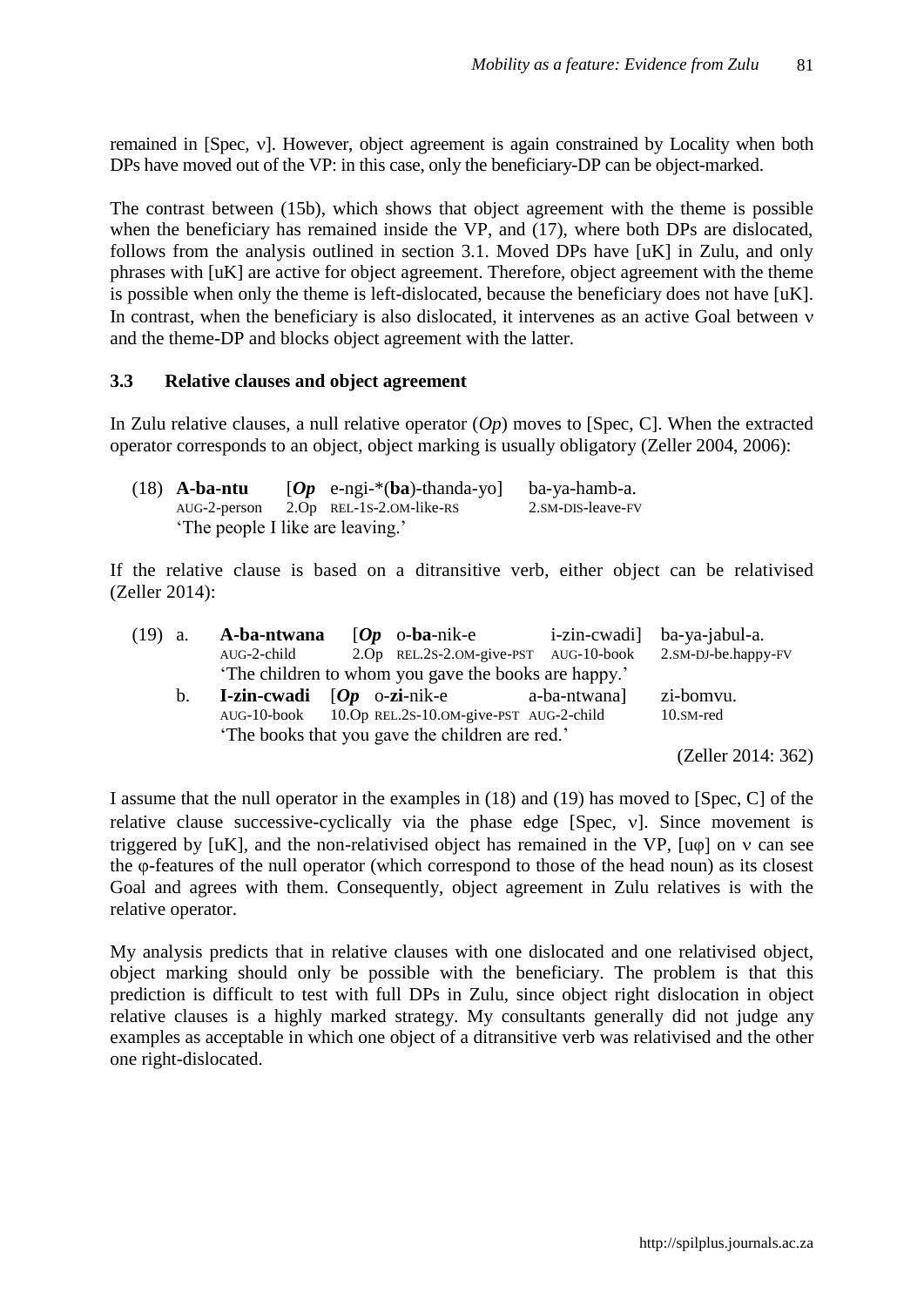remained in [Spec, v]. However, object agreement is again constrained by Locality when both DPs have moved out of the VP: in this case, only the beneficiary-DP can be object-marked.

The contrast between (15b), which shows that object agreement with the theme is possible when the beneficiary has remained inside the VP, and (17), where both DPs are dislocated, follows from the analysis outlined in section 3.1. Moved DPs have [uK] in Zulu, and only phrases with [uK] are active for object agreement. Therefore, object agreement with the theme is possible when only the theme is left-dislocated, because the beneficiary does not have [uK]. In contrast, when the beneficiary is also dislocated, it intervenes as an active Goal between  $\nu$ and the theme-DP and blocks object agreement with the latter.

## **3.3 Relative clauses and object agreement**

In Zulu relative clauses, a null relative operator (*Op*) moves to [Spec, C]. When the extracted operator corresponds to an object, object marking is usually obligatory (Zeller 2004, 2006):

| $(18)$ A-ba-ntu                  | $[Op \text{ e-ngi-*(ba)-thanda-yo}]$  | ba-ya-hamb-a.     |
|----------------------------------|---------------------------------------|-------------------|
|                                  | AUG-2-person 2.Op REL-1S-2.OM-like-RS | 2.SM-DIS-leave-FV |
| 'The people I like are leaving.' |                                       |                   |

If the relative clause is based on a ditransitive verb, either object can be relativised (Zeller 2014):

| $(19)$ a. |                | A-ba-ntwana                                                     | $[Op \space$ o-ba-nik-e                              |              | i-zin-cwadi] ba-ya-jabul-a. |
|-----------|----------------|-----------------------------------------------------------------|------------------------------------------------------|--------------|-----------------------------|
|           |                | AUG-2-child                                                     | 2.Op REL.2S-2.OM-give-PST AUG-10-book                |              | 2.SM-DJ-be.happy-FV         |
|           |                |                                                                 | 'The children to whom you gave the books are happy.' |              |                             |
|           | $\mathbf{b}$ . | <b>I-zin-cwadi</b> $[Op \space o\text{-}zi\text{-}nik\text{-}e$ |                                                      | a-ba-ntwana] | zi-bomvu.                   |
|           |                |                                                                 | AUG-10-book 10.Op REL.2S-10.OM-give-PST AUG-2-child  |              | 10.SM-red                   |
|           |                |                                                                 | The books that you gave the children are red.'       |              |                             |
|           |                |                                                                 |                                                      |              | (Zeller 2014: 362)          |

I assume that the null operator in the examples in (18) and (19) has moved to [Spec, C] of the relative clause successive-cyclically via the phase edge [Spec,  $v$ ]. Since movement is triggered by  $[uK]$ , and the non-relativised object has remained in the VP.  $[u\omega]$  on  $v$  can see the φ-features of the null operator (which correspond to those of the head noun) as its closest Goal and agrees with them. Consequently, object agreement in Zulu relatives is with the relative operator.

My analysis predicts that in relative clauses with one dislocated and one relativised object, object marking should only be possible with the beneficiary. The problem is that this prediction is difficult to test with full DPs in Zulu, since object right dislocation in object relative clauses is a highly marked strategy. My consultants generally did not judge any examples as acceptable in which one object of a ditransitive verb was relativised and the other one right-dislocated.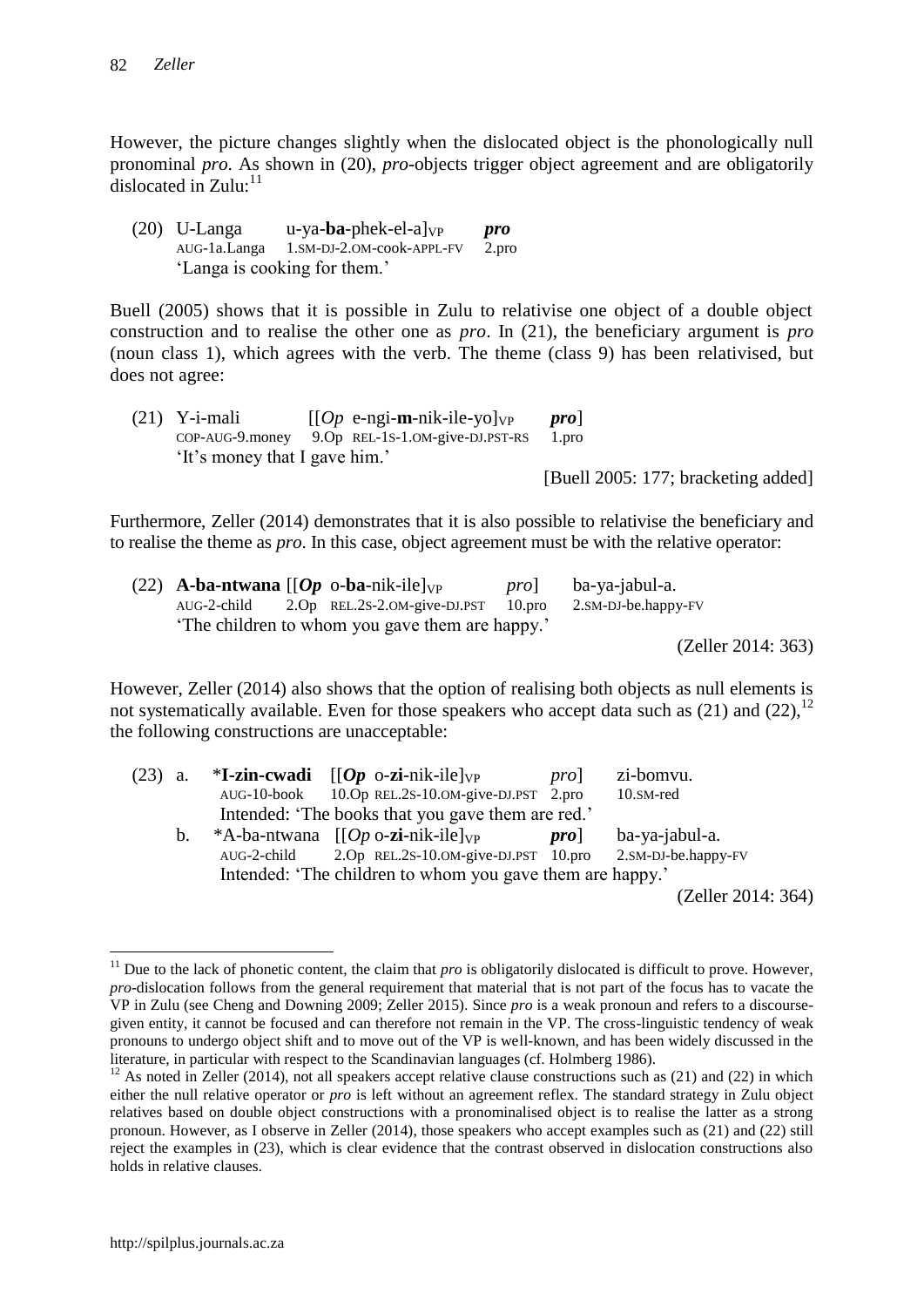However, the picture changes slightly when the dislocated object is the phonologically null pronominal *pro*. As shown in (20), *pro-*objects trigger object agreement and are obligatorily dislocated in  $Z$ ulu:<sup>11</sup>

| $(20)$ U-Langa               | $u$ -ya- <b>ba</b> -phek-el-al <sub>VP</sub> | pro   |  |  |
|------------------------------|----------------------------------------------|-------|--|--|
| AUG-1a.Langa                 | 1.SM-DJ-2.OM-cook-APPL-FV                    | 2.pro |  |  |
| 'Langa is cooking for them.' |                                              |       |  |  |

Buell (2005) shows that it is possible in Zulu to relativise one object of a double object construction and to realise the other one as *pro*. In (21), the beneficiary argument is *pro*  (noun class 1), which agrees with the verb. The theme (class 9) has been relativised, but does not agree:

| $(21)$ Y-i-mali               | $[Op$ e-ngi-m-nik-ile-yol <sub>VP</sub>              | pro <sub>l</sub>                    |
|-------------------------------|------------------------------------------------------|-------------------------------------|
|                               | $COP-AUG-9$ .money $9.Op$ REL-1S-1.0M-give-DJ.PST-RS | 1.pro                               |
| 'It's money that I gave him.' |                                                      |                                     |
|                               |                                                      | [Buell 2005: 177; bracketing added] |

Furthermore, Zeller (2014) demonstrates that it is also possible to relativise the beneficiary and to realise the theme as *pro*. In this case, object agreement must be with the relative operator:

|  | (22) <b>A-ba-ntwana</b> $\begin{bmatrix} [Op \text{ o-ba-nik-ile}]_{VP} \end{bmatrix}$ | pro | ba-ya-jabul-a.      |
|--|----------------------------------------------------------------------------------------|-----|---------------------|
|  | $AUG-2$ -child $2.Op$ REL.2S-2.0M-give-DJ.PST $10. pro$                                |     | 2.SM-DJ-be.happy-FV |
|  | The children to whom you gave them are happy.'                                         |     |                     |
|  |                                                                                        |     | (Zeller 2014: 363)  |

However, Zeller (2014) also shows that the option of realising both objects as null elements is not systematically available. Even for those speakers who accept data such as  $(21)$  and  $(22)$ ,  $^{12}$ the following constructions are unacceptable:

| $(23)$ a. |    |             | * <b>I-zin-cwadi</b> $[(Op \text{ o-zi-nik-ile}]_{VP}]$   | prol | zi-bomvu.           |
|-----------|----|-------------|-----------------------------------------------------------|------|---------------------|
|           |    |             | AUG-10-book 10.Op REL.2S-10.OM-give-DJ.PST 2.pro          |      | 10.SM-red           |
|           |    |             | Intended: 'The books that you gave them are red.'         |      |                     |
|           | b. |             | *A-ba-ntwana $[(Op \text{ o-zi-nik-ile}]_{VP}]$           | pro  | ba-ya-jabul-a.      |
|           |    | AUG-2-child | 2.Op REL.2S-10.OM-give-DJ.PST 10.pro                      |      | 2.SM-DJ-be.happy-FV |
|           |    |             | Intended: 'The children to whom you gave them are happy.' |      |                     |
|           |    |             |                                                           |      | (Zeller 2014: 364)  |

<sup>&</sup>lt;sup>11</sup> Due to the lack of phonetic content, the claim that  $pro$  is obligatorily dislocated is difficult to prove. However, *pro*-dislocation follows from the general requirement that material that is not part of the focus has to vacate the VP in Zulu (see Cheng and Downing 2009; Zeller 2015). Since *pro* is a weak pronoun and refers to a discoursegiven entity, it cannot be focused and can therefore not remain in the VP. The cross-linguistic tendency of weak pronouns to undergo object shift and to move out of the VP is well-known, and has been widely discussed in the literature, in particular with respect to the Scandinavian languages (cf. Holmberg 1986).

 $12$  As noted in Zeller (2014), not all speakers accept relative clause constructions such as (21) and (22) in which either the null relative operator or *pro* is left without an agreement reflex. The standard strategy in Zulu object relatives based on double object constructions with a pronominalised object is to realise the latter as a strong pronoun. However, as I observe in Zeller (2014), those speakers who accept examples such as (21) and (22) still reject the examples in (23), which is clear evidence that the contrast observed in dislocation constructions also holds in relative clauses.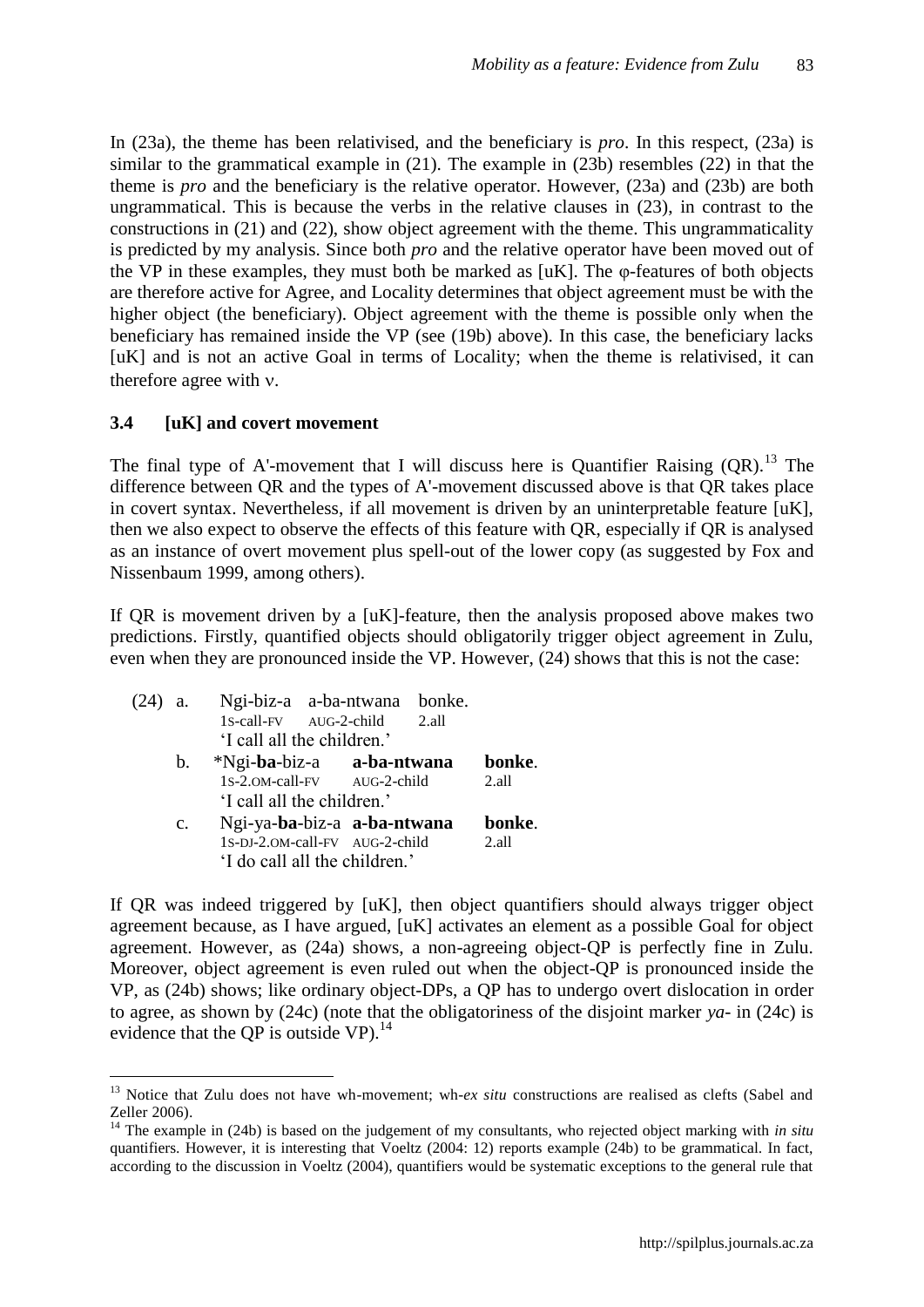In (23a), the theme has been relativised, and the beneficiary is *pro*. In this respect, (23a) is similar to the grammatical example in (21). The example in (23b) resembles (22) in that the theme is *pro* and the beneficiary is the relative operator. However, (23a) and (23b) are both ungrammatical. This is because the verbs in the relative clauses in (23), in contrast to the constructions in (21) and (22), show object agreement with the theme. This ungrammaticality is predicted by my analysis. Since both *pro* and the relative operator have been moved out of the VP in these examples, they must both be marked as [uK]. The φ-features of both objects are therefore active for Agree, and Locality determines that object agreement must be with the higher object (the beneficiary). Object agreement with the theme is possible only when the beneficiary has remained inside the VP (see (19b) above). In this case, the beneficiary lacks [uK] and is not an active Goal in terms of Locality; when the theme is relativised, it can therefore agree with  $v$ .

#### **3.4 [uK] and covert movement**

 $\overline{a}$ 

The final type of A'-movement that I will discuss here is Quantifier Raising  $(QR)$ .<sup>13</sup> The difference between QR and the types of A'-movement discussed above is that QR takes place in covert syntax. Nevertheless, if all movement is driven by an uninterpretable feature [uK], then we also expect to observe the effects of this feature with QR, especially if QR is analysed as an instance of overt movement plus spell-out of the lower copy (as suggested by Fox and Nissenbaum 1999, among others).

If QR is movement driven by a [uK]-feature, then the analysis proposed above makes two predictions. Firstly, quantified objects should obligatorily trigger object agreement in Zulu, even when they are pronounced inside the VP. However, (24) shows that this is not the case:

| $(24)$ a. |                               | Ngi-biz-a a-ba-ntwana bonke.   |  |  |  |                    |
|-----------|-------------------------------|--------------------------------|--|--|--|--------------------|
|           |                               | 1s-call-FV AUG-2-child 2.all   |  |  |  |                    |
|           |                               | 'I call all the children.'     |  |  |  |                    |
|           |                               | b. *Ngi-ba-biz-a a-ba-ntwana   |  |  |  | bonke.             |
|           |                               | 1s-2.om-call-FV AUG-2-child    |  |  |  | 2. a <sub>11</sub> |
|           |                               | 'I call all the children.'     |  |  |  |                    |
|           | $\mathbf{c}$ .                | Ngi-ya-ba-biz-a a-ba-ntwana    |  |  |  | bonke.             |
|           |                               | 1S-DJ-2.0M-call-FV AUG-2-child |  |  |  | 2.all              |
|           | 'I do call all the children.' |                                |  |  |  |                    |

If QR was indeed triggered by [uK], then object quantifiers should always trigger object agreement because, as I have argued, [uK] activates an element as a possible Goal for object agreement. However, as (24a) shows, a non-agreeing object-QP is perfectly fine in Zulu. Moreover, object agreement is even ruled out when the object-QP is pronounced inside the VP, as (24b) shows; like ordinary object-DPs, a QP has to undergo overt dislocation in order to agree, as shown by (24c) (note that the obligatoriness of the disjoint marker *ya*- in (24c) is evidence that the QP is outside  $VP$ ).<sup>14</sup>

<sup>&</sup>lt;sup>13</sup> Notice that Zulu does not have wh-movement; wh-*ex situ* constructions are realised as clefts (Sabel and Zeller 2006).

<sup>&</sup>lt;sup>14</sup> The example in (24b) is based on the judgement of my consultants, who rejected object marking with *in situ* quantifiers. However, it is interesting that Voeltz (2004: 12) reports example (24b) to be grammatical. In fact, according to the discussion in Voeltz (2004), quantifiers would be systematic exceptions to the general rule that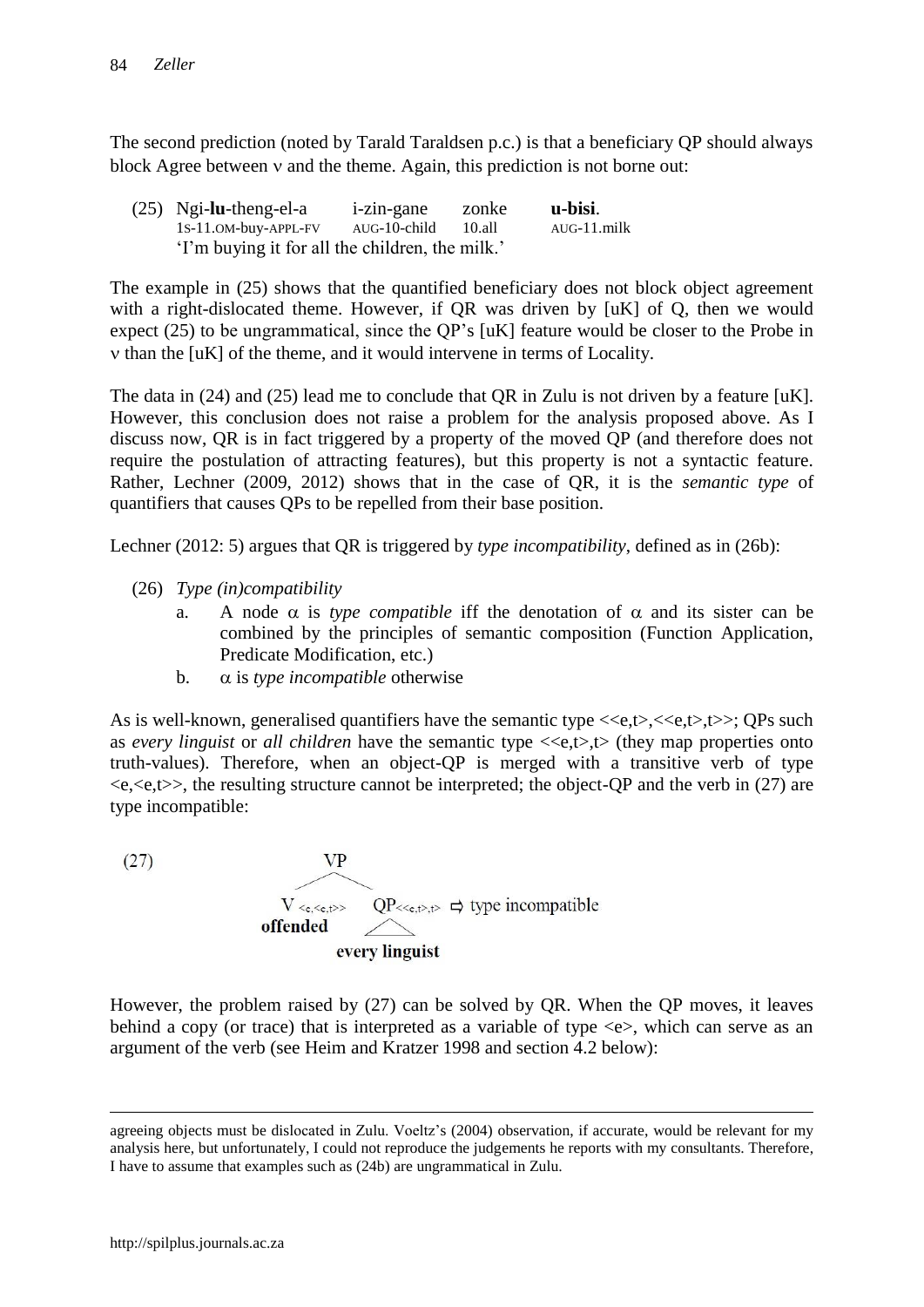The second prediction (noted by Tarald Taraldsen p.c.) is that a beneficiary QP should always block Agree between  $\nu$  and the theme. Again, this prediction is not borne out:

(25) Ngi-**lu**-theng-el-a i-zin-gane zonke **u-bisi**. 1S-11.OM-buy-APPL-FV AUG-10-child 10.all AUG-11.milk "I"m buying it for all the children, the milk."

The example in (25) shows that the quantified beneficiary does not block object agreement with a right-dislocated theme. However, if OR was driven by [uK] of O, then we would expect (25) to be ungrammatical, since the QP"s [uK] feature would be closer to the Probe in  $v$  than the  $[uK]$  of the theme, and it would intervene in terms of Locality.

The data in (24) and (25) lead me to conclude that QR in Zulu is not driven by a feature [uK]. However, this conclusion does not raise a problem for the analysis proposed above. As I discuss now, QR is in fact triggered by a property of the moved QP (and therefore does not require the postulation of attracting features), but this property is not a syntactic feature. Rather, Lechner (2009, 2012) shows that in the case of QR, it is the *semantic type* of quantifiers that causes QPs to be repelled from their base position.

Lechner (2012: 5) argues that QR is triggered by *type incompatibility*, defined as in (26b):

- (26) *Type (in)compatibility*
	- a. A node  $\alpha$  is *type compatible* iff the denotation of  $\alpha$  and its sister can be combined by the principles of semantic composition (Function Application, Predicate Modification, etc.)
	- b.  $\alpha$  is *type incompatible* otherwise

As is well-known, generalised quantifiers have the semantic type  $\langle\langle e,t\rangle,\langle\langle e,t\rangle,\langle \rangle)$ ; QPs such as *every linguist* or *all children* have the semantic type <<e,t>,t> (they map properties onto truth-values). Therefore, when an object-QP is merged with a transitive verb of type  $\langle e, \langle e, t \rangle \rangle$ , the resulting structure cannot be interpreted; the object-QP and the verb in (27) are type incompatible:

 $(27)$ **VP**  $V < e, \le e, t >>$  $QP \ll_{e,t>,t>}\nightharpoonup$  type incompatible offended every linguist

However, the problem raised by (27) can be solved by QR. When the QP moves, it leaves behind a copy (or trace) that is interpreted as a variable of type  $\ll$ , which can serve as an argument of the verb (see Heim and Kratzer 1998 and section 4.2 below):

agreeing objects must be dislocated in Zulu. Voeltz's (2004) observation, if accurate, would be relevant for my analysis here, but unfortunately, I could not reproduce the judgements he reports with my consultants. Therefore, I have to assume that examples such as (24b) are ungrammatical in Zulu.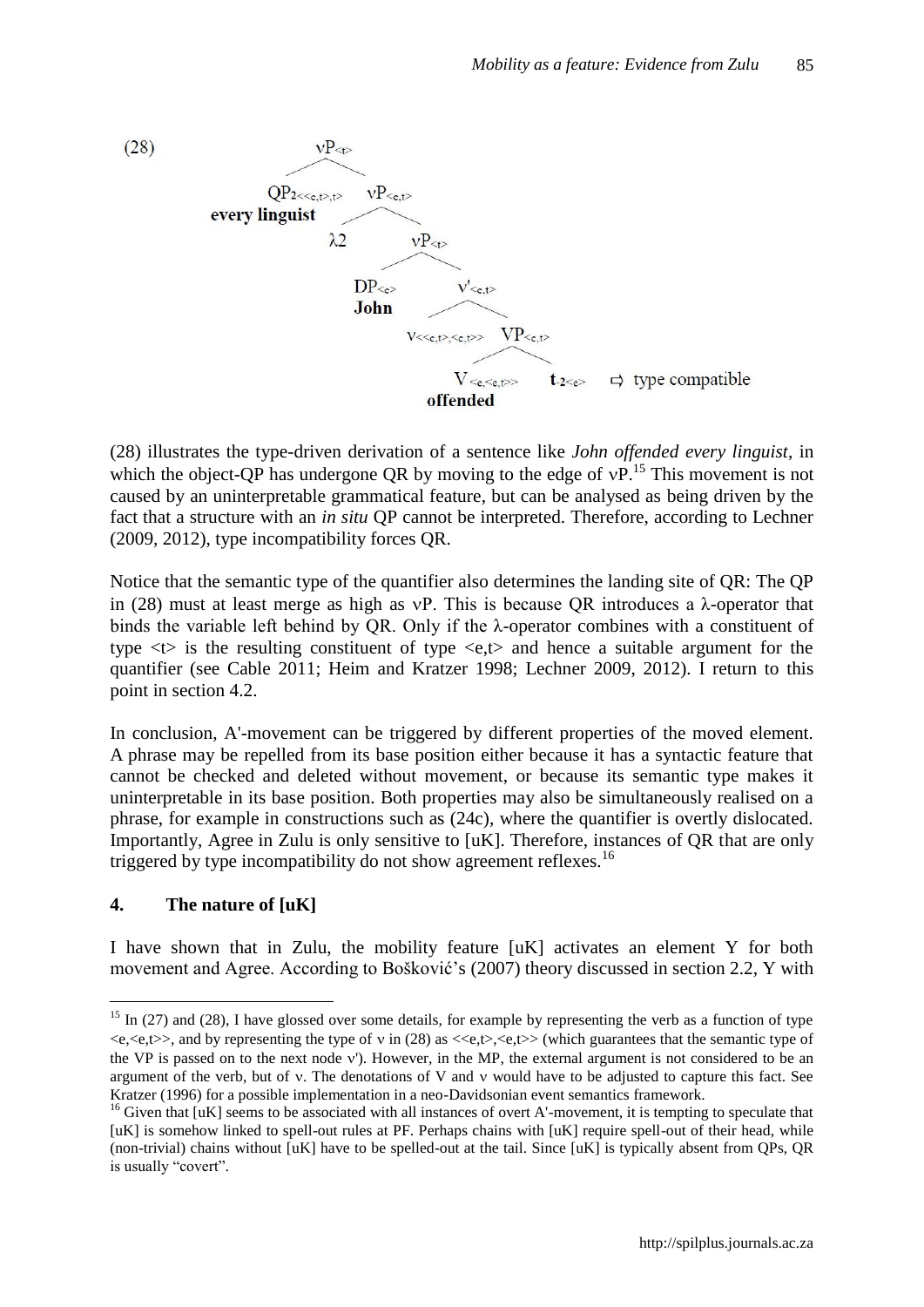

(28) illustrates the type-driven derivation of a sentence like *John offended every linguist*, in which the object-OP has undergone OR by moving to the edge of  $VP<sup>15</sup>$ . This movement is not caused by an uninterpretable grammatical feature, but can be analysed as being driven by the fact that a structure with an *in situ* QP cannot be interpreted. Therefore, according to Lechner (2009, 2012), type incompatibility forces QR.

Notice that the semantic type of the quantifier also determines the landing site of QR: The QP in (28) must at least merge as high as vP. This is because OR introduces a  $\lambda$ -operator that binds the variable left behind by QR. Only if the λ-operator combines with a constituent of type  $\langle t \rangle$  is the resulting constituent of type  $\langle e, t \rangle$  and hence a suitable argument for the quantifier (see Cable 2011; Heim and Kratzer 1998; Lechner 2009, 2012). I return to this point in section 4.2.

In conclusion, A'-movement can be triggered by different properties of the moved element. A phrase may be repelled from its base position either because it has a syntactic feature that cannot be checked and deleted without movement, or because its semantic type makes it uninterpretable in its base position. Both properties may also be simultaneously realised on a phrase, for example in constructions such as (24c), where the quantifier is overtly dislocated. Importantly, Agree in Zulu is only sensitive to [uK]. Therefore, instances of QR that are only triggered by type incompatibility do not show agreement reflexes.<sup>16</sup>

## **4. The nature of [uK]**

 $\overline{a}$ 

I have shown that in Zulu, the mobility feature [uK] activates an element Y for both movement and Agree. According to Bošković"s (2007) theory discussed in section 2.2, Y with

 $15$  In (27) and (28), I have glossed over some details, for example by representing the verb as a function of type  $\langle e, \langle e, \rangle \rangle$ , and by representing the type of v in (28) as  $\langle \langle e, \rangle \langle e, \rangle \rangle$  (which guarantees that the semantic type of the VP is passed on to the next node v'). However, in the MP, the external argument is not considered to be an argument of the verb, but of  $v$ . The denotations of V and  $v$  would have to be adjusted to capture this fact. See Kratzer (1996) for a possible implementation in a neo-Davidsonian event semantics framework.

 $16$  Given that [uK] seems to be associated with all instances of overt A'-movement, it is tempting to speculate that [uK] is somehow linked to spell-out rules at PF. Perhaps chains with [uK] require spell-out of their head, while (non-trivial) chains without [uK] have to be spelled-out at the tail. Since [uK] is typically absent from QPs, QR is usually "covert".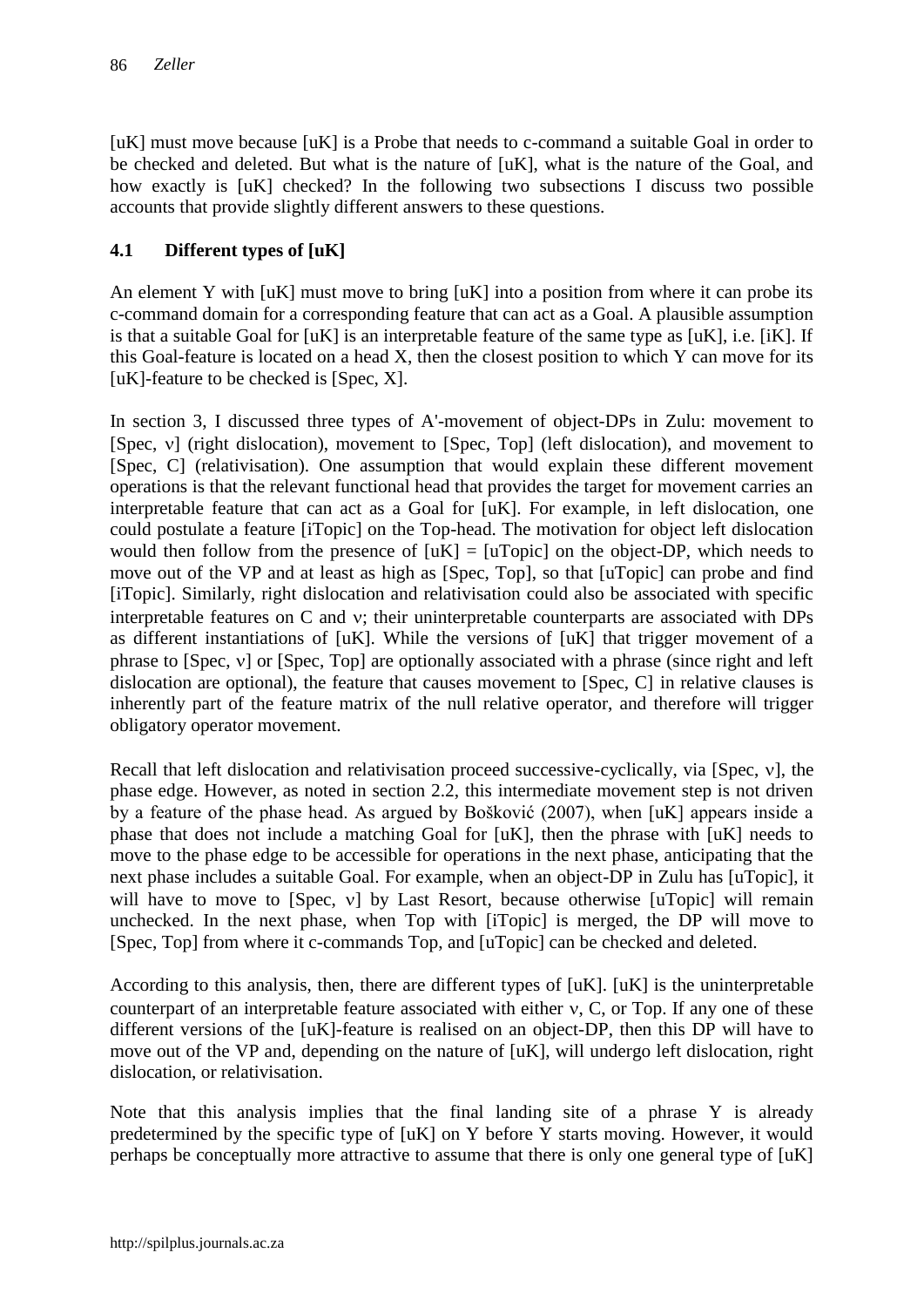[uK] must move because [uK] is a Probe that needs to c-command a suitable Goal in order to be checked and deleted. But what is the nature of [uK], what is the nature of the Goal, and how exactly is [uK] checked? In the following two subsections I discuss two possible accounts that provide slightly different answers to these questions.

## **4.1 Different types of [uK]**

An element Y with [uK] must move to bring [uK] into a position from where it can probe its c-command domain for a corresponding feature that can act as a Goal. A plausible assumption is that a suitable Goal for [uK] is an interpretable feature of the same type as [uK], i.e. [iK]. If this Goal-feature is located on a head X, then the closest position to which Y can move for its [ $uK$ ]-feature to be checked is [Spec, X].

In section 3, I discussed three types of A'-movement of object-DPs in Zulu: movement to [Spec,  $v$ ] (right dislocation), movement to [Spec, Top] (left dislocation), and movement to [Spec, C] (relativisation). One assumption that would explain these different movement operations is that the relevant functional head that provides the target for movement carries an interpretable feature that can act as a Goal for [uK]. For example, in left dislocation, one could postulate a feature [iTopic] on the Top-head. The motivation for object left dislocation would then follow from the presence of  $[uK] = [uTopic]$  on the object-DP, which needs to move out of the VP and at least as high as [Spec, Top], so that [uTopic] can probe and find [iTopic]. Similarly, right dislocation and relativisation could also be associated with specific interpretable features on  $C$  and  $v$ ; their uninterpretable counterparts are associated with DPs as different instantiations of [uK]. While the versions of [uK] that trigger movement of a phrase to  $[Spec, v]$  or  $[Spec, Top]$  are optionally associated with a phrase (since right and left dislocation are optional), the feature that causes movement to [Spec, C] in relative clauses is inherently part of the feature matrix of the null relative operator, and therefore will trigger obligatory operator movement.

Recall that left dislocation and relativisation proceed successive-cyclically, via [Spec,  $v$ ], the phase edge. However, as noted in section 2.2, this intermediate movement step is not driven by a feature of the phase head. As argued by Bošković (2007), when [uK] appears inside a phase that does not include a matching Goal for [uK], then the phrase with [uK] needs to move to the phase edge to be accessible for operations in the next phase, anticipating that the next phase includes a suitable Goal. For example, when an object-DP in Zulu has [uTopic], it will have to move to [Spec,  $v$ ] by Last Resort, because otherwise [uTopic] will remain unchecked. In the next phase, when Top with [iTopic] is merged, the DP will move to [Spec, Top] from where it c-commands Top, and [uTopic] can be checked and deleted.

According to this analysis, then, there are different types of [uK]. [uK] is the uninterpretable counterpart of an interpretable feature associated with either  $v$ , C, or Top. If any one of these different versions of the [uK]-feature is realised on an object-DP, then this DP will have to move out of the VP and, depending on the nature of [uK], will undergo left dislocation, right dislocation, or relativisation.

Note that this analysis implies that the final landing site of a phrase Y is already predetermined by the specific type of [uK] on Y before Y starts moving. However, it would perhaps be conceptually more attractive to assume that there is only one general type of [uK]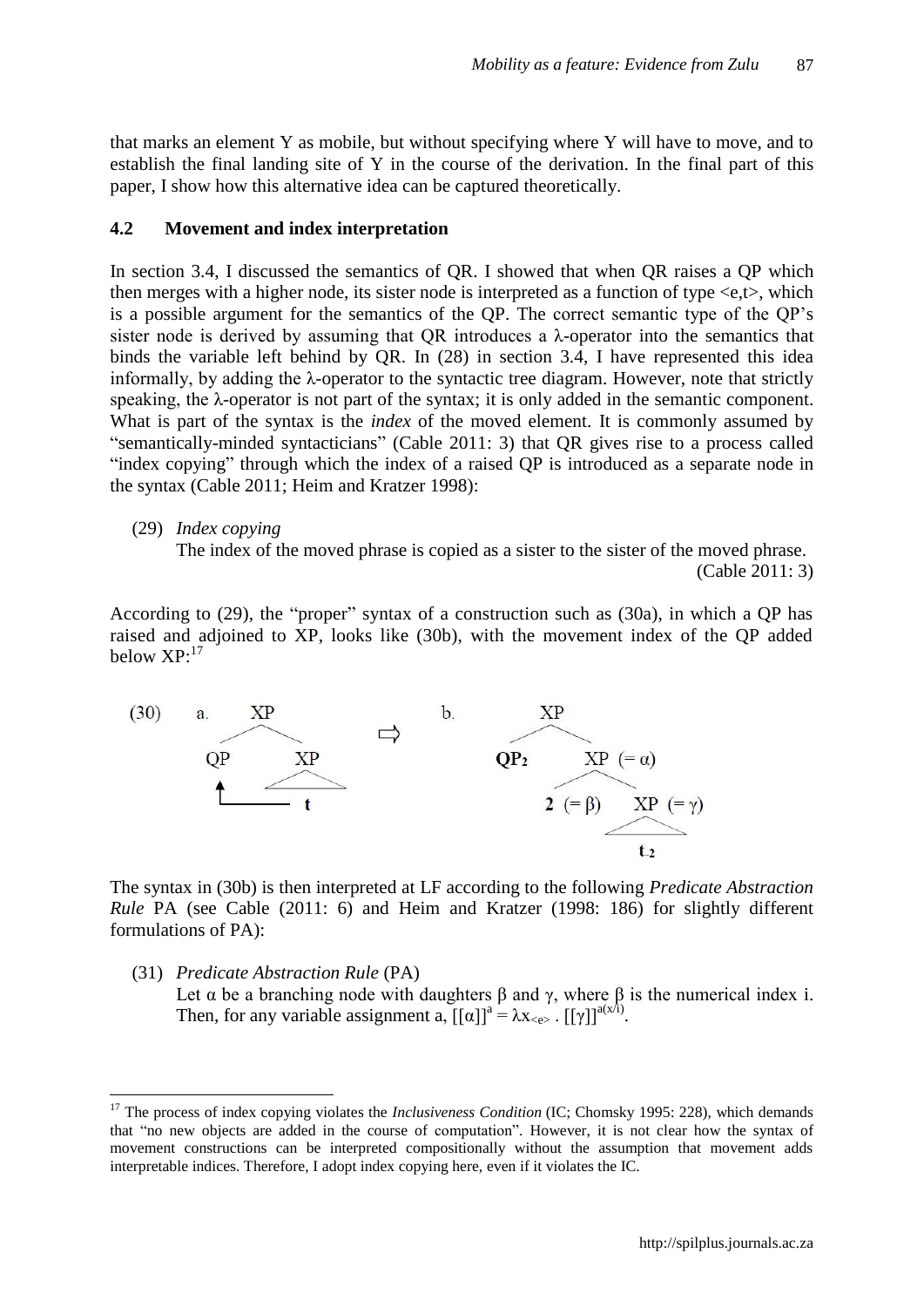that marks an element Y as mobile, but without specifying where Y will have to move, and to establish the final landing site of Y in the course of the derivation. In the final part of this paper, I show how this alternative idea can be captured theoretically.

#### **4.2 Movement and index interpretation**

In section 3.4, I discussed the semantics of QR. I showed that when QR raises a QP which then merges with a higher node, its sister node is interpreted as a function of type <e,t>, which is a possible argument for the semantics of the QP. The correct semantic type of the QP"s sister node is derived by assuming that QR introduces a  $\lambda$ -operator into the semantics that binds the variable left behind by QR. In (28) in section 3.4, I have represented this idea informally, by adding the λ-operator to the syntactic tree diagram. However, note that strictly speaking, the λ-operator is not part of the syntax; it is only added in the semantic component. What is part of the syntax is the *index* of the moved element. It is commonly assumed by "semantically-minded syntacticians" (Cable 2011: 3) that QR gives rise to a process called "index copying" through which the index of a raised QP is introduced as a separate node in the syntax (Cable 2011; Heim and Kratzer 1998):

 $\overline{a}$ 

The index of the moved phrase is copied as a sister to the sister of the moved phrase.

(Cable 2011: 3)

According to (29), the "proper" syntax of a construction such as (30a), in which a QP has raised and adjoined to XP, looks like (30b), with the movement index of the QP added below XP:<sup>17</sup>



The syntax in (30b) is then interpreted at LF according to the following *Predicate Abstraction Rule* PA (see Cable (2011: 6) and Heim and Kratzer (1998: 186) for slightly different formulations of PA):

(31) *Predicate Abstraction Rule* (PA) Let  $\alpha$  be a branching node with daughters  $\beta$  and  $\gamma$ , where  $\beta$  is the numerical index i. Then, for any variable assignment a,  $[[\alpha]]^a = \lambda x_{\leq c}$ .  $[[\gamma]]^{a(x/i)}$ .

<sup>(29)</sup> *Index copying*

<sup>&</sup>lt;sup>17</sup> The process of index copying violates the *Inclusiveness Condition* (IC; Chomsky 1995: 228), which demands that "no new objects are added in the course of computation". However, it is not clear how the syntax of movement constructions can be interpreted compositionally without the assumption that movement adds interpretable indices. Therefore, I adopt index copying here, even if it violates the IC.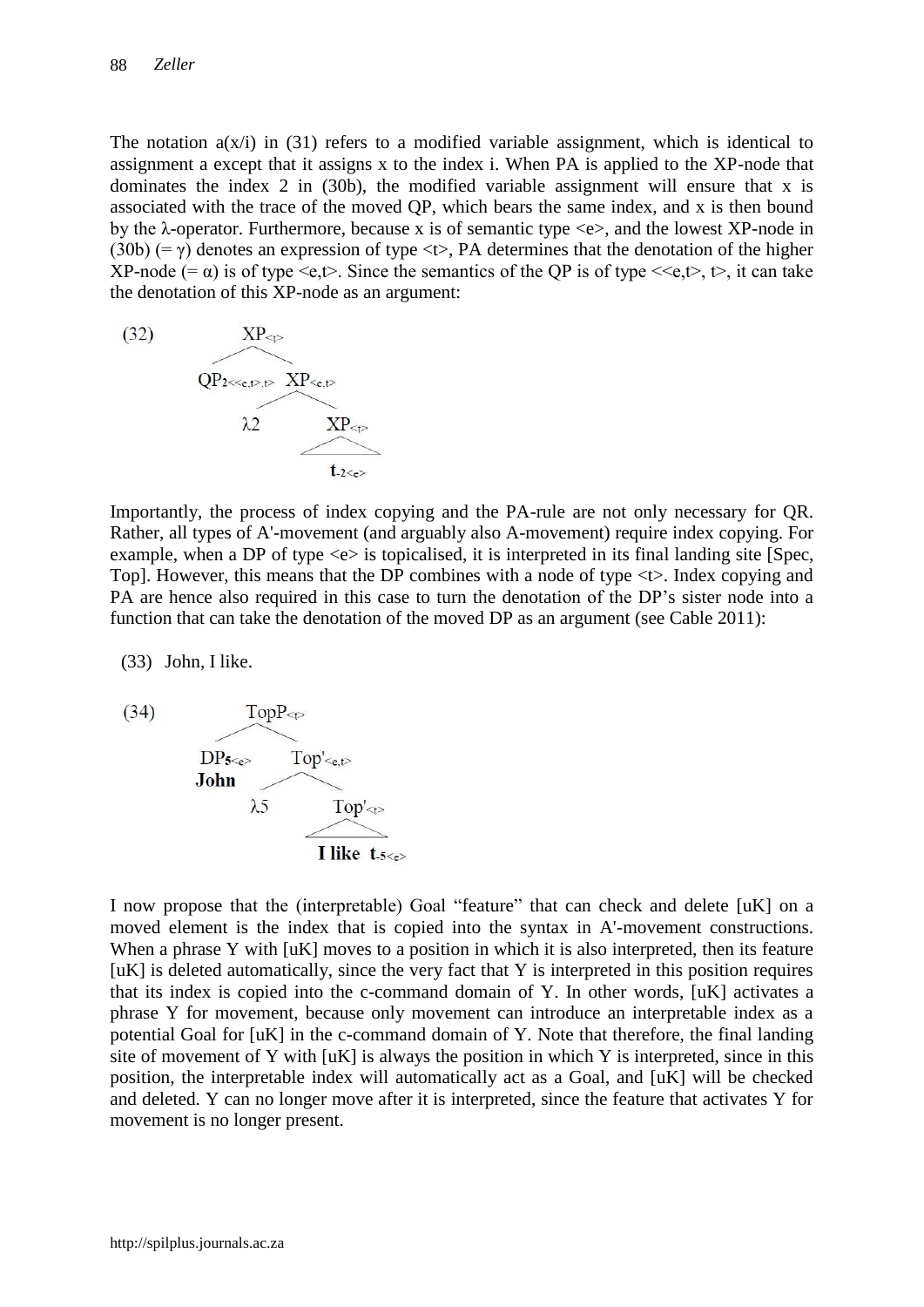The notation  $a(x/i)$  in (31) refers to a modified variable assignment, which is identical to assignment a except that it assigns x to the index i. When PA is applied to the XP-node that dominates the index 2 in (30b), the modified variable assignment will ensure that x is associated with the trace of the moved QP, which bears the same index, and x is then bound by the  $\lambda$ -operator. Furthermore, because x is of semantic type  $\langle e \rangle$ , and the lowest XP-node in (30b) (=  $\gamma$ ) denotes an expression of type <t>, PA determines that the denotation of the higher XP-node (=  $\alpha$ ) is of type <e,t>. Since the semantics of the QP is of type <<e,t>,  $\uparrow$ , it can take the denotation of this XP-node as an argument:



Importantly, the process of index copying and the PA-rule are not only necessary for QR. Rather, all types of A'-movement (and arguably also A-movement) require index copying. For example, when a DP of type  $\ll$  is topicalised, it is interpreted in its final landing site [Spec, Top]. However, this means that the DP combines with a node of type <t>. Index copying and PA are hence also required in this case to turn the denotation of the DP's sister node into a function that can take the denotation of the moved DP as an argument (see Cable 2011):

(33) John, I like.



I now propose that the (interpretable) Goal "feature" that can check and delete [uK] on a moved element is the index that is copied into the syntax in A'-movement constructions. When a phrase Y with [uK] moves to a position in which it is also interpreted, then its feature  $[uK]$  is deleted automatically, since the very fact that Y is interpreted in this position requires that its index is copied into the c-command domain of Y. In other words, [uK] activates a phrase Y for movement, because only movement can introduce an interpretable index as a potential Goal for [uK] in the c-command domain of Y. Note that therefore, the final landing site of movement of Y with [uK] is always the position in which Y is interpreted, since in this position, the interpretable index will automatically act as a Goal, and [uK] will be checked and deleted. Y can no longer move after it is interpreted, since the feature that activates Y for movement is no longer present.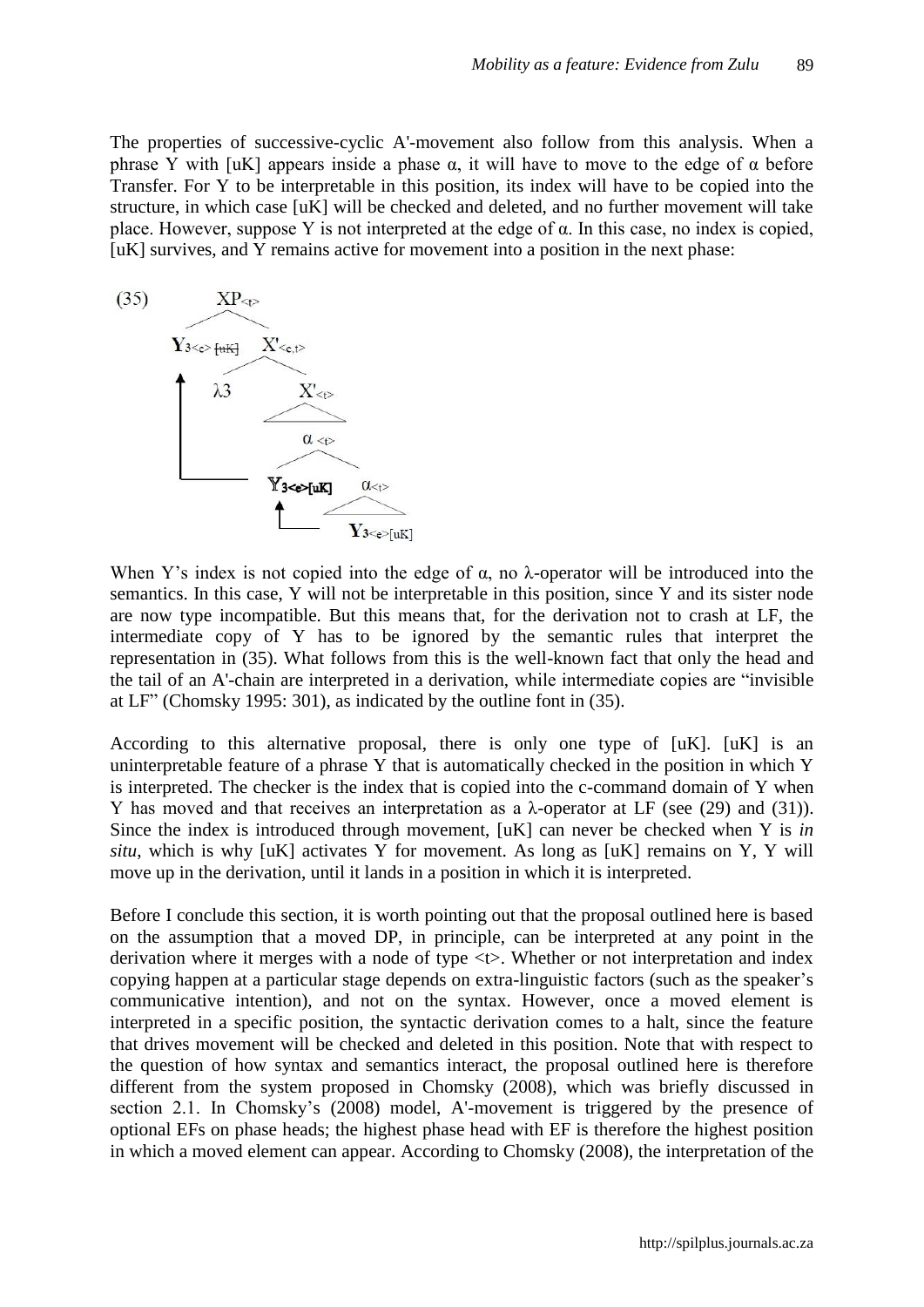The properties of successive-cyclic A'-movement also follow from this analysis. When a phrase Y with [uK] appears inside a phase  $\alpha$ , it will have to move to the edge of  $\alpha$  before Transfer. For Y to be interpretable in this position, its index will have to be copied into the structure, in which case [uK] will be checked and deleted, and no further movement will take place. However, suppose Y is not interpreted at the edge of  $\alpha$ . In this case, no index is copied, [uK] survives, and Y remains active for movement into a position in the next phase:



When Y's index is not copied into the edge of  $\alpha$ , no  $\lambda$ -operator will be introduced into the semantics. In this case, Y will not be interpretable in this position, since Y and its sister node are now type incompatible. But this means that, for the derivation not to crash at LF, the intermediate copy of Y has to be ignored by the semantic rules that interpret the representation in (35). What follows from this is the well-known fact that only the head and the tail of an A'-chain are interpreted in a derivation, while intermediate copies are "invisible at LF" (Chomsky 1995: 301), as indicated by the outline font in (35).

According to this alternative proposal, there is only one type of [uK]. [uK] is an uninterpretable feature of a phrase Y that is automatically checked in the position in which Y is interpreted. The checker is the index that is copied into the c-command domain of Y when Y has moved and that receives an interpretation as a λ-operator at LF (see (29) and (31)). Since the index is introduced through movement, [uK] can never be checked when Y is *in situ*, which is why [uK] activates Y for movement. As long as [uK] remains on Y, Y will move up in the derivation, until it lands in a position in which it is interpreted.

Before I conclude this section, it is worth pointing out that the proposal outlined here is based on the assumption that a moved DP, in principle, can be interpreted at any point in the derivation where it merges with a node of type <t>. Whether or not interpretation and index copying happen at a particular stage depends on extra-linguistic factors (such as the speaker"s communicative intention), and not on the syntax. However, once a moved element is interpreted in a specific position, the syntactic derivation comes to a halt, since the feature that drives movement will be checked and deleted in this position. Note that with respect to the question of how syntax and semantics interact, the proposal outlined here is therefore different from the system proposed in Chomsky (2008), which was briefly discussed in section 2.1. In Chomsky's (2008) model, A'-movement is triggered by the presence of optional EFs on phase heads; the highest phase head with EF is therefore the highest position in which a moved element can appear. According to Chomsky (2008), the interpretation of the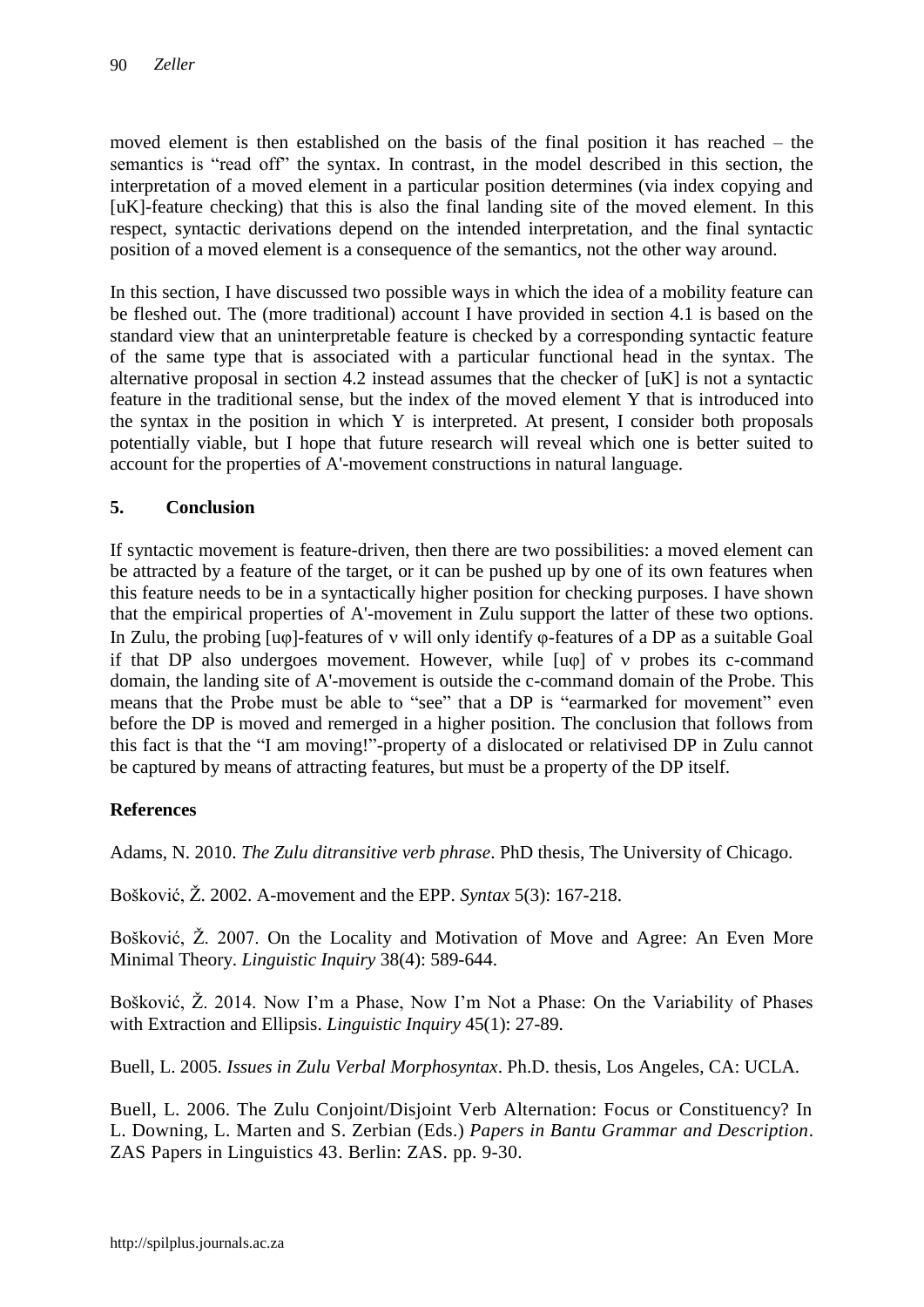moved element is then established on the basis of the final position it has reached – the semantics is "read off" the syntax. In contrast, in the model described in this section, the interpretation of a moved element in a particular position determines (via index copying and  $[uK]$ -feature checking) that this is also the final landing site of the moved element. In this respect, syntactic derivations depend on the intended interpretation, and the final syntactic position of a moved element is a consequence of the semantics, not the other way around.

In this section, I have discussed two possible ways in which the idea of a mobility feature can be fleshed out. The (more traditional) account I have provided in section 4.1 is based on the standard view that an uninterpretable feature is checked by a corresponding syntactic feature of the same type that is associated with a particular functional head in the syntax. The alternative proposal in section 4.2 instead assumes that the checker of [uK] is not a syntactic feature in the traditional sense, but the index of the moved element Y that is introduced into the syntax in the position in which Y is interpreted. At present, I consider both proposals potentially viable, but I hope that future research will reveal which one is better suited to account for the properties of A'-movement constructions in natural language.

## **5. Conclusion**

If syntactic movement is feature-driven, then there are two possibilities: a moved element can be attracted by a feature of the target, or it can be pushed up by one of its own features when this feature needs to be in a syntactically higher position for checking purposes. I have shown that the empirical properties of A'-movement in Zulu support the latter of these two options. In Zulu, the probing [uφ]-features of will only identify φ-features of a DP as a suitable Goal if that DP also undergoes movement. However, while  $[u\varphi]$  of  $v$  probes its c-command domain, the landing site of A'-movement is outside the c-command domain of the Probe. This means that the Probe must be able to "see" that a DP is "earmarked for movement" even before the DP is moved and remerged in a higher position. The conclusion that follows from this fact is that the "I am moving!"-property of a dislocated or relativised DP in Zulu cannot be captured by means of attracting features, but must be a property of the DP itself.

## **References**

Adams, N. 2010. *The Zulu ditransitive verb phrase*. PhD thesis, The University of Chicago.

Bošković, Ž. 2002. A-movement and the EPP. *Syntax* 5(3): 167-218.

Bošković, Ž. 2007. On the Locality and Motivation of Move and Agree: An Even More Minimal Theory. *Linguistic Inquiry* 38(4): 589-644.

Bošković, Ž. 2014. Now I"m a Phase, Now I"m Not a Phase: On the Variability of Phases with Extraction and Ellipsis. *Linguistic Inquiry* 45(1): 27-89.

Buell, L. 2005. *Issues in Zulu Verbal Morphosyntax*. Ph.D. thesis, Los Angeles, CA: UCLA.

Buell, L. 2006. The Zulu Conjoint/Disjoint Verb Alternation: Focus or Constituency? In L. Downing, L. Marten and S. Zerbian (Eds.) *Papers in Bantu Grammar and Description*. ZAS Papers in Linguistics 43. Berlin: ZAS. pp. 9-30.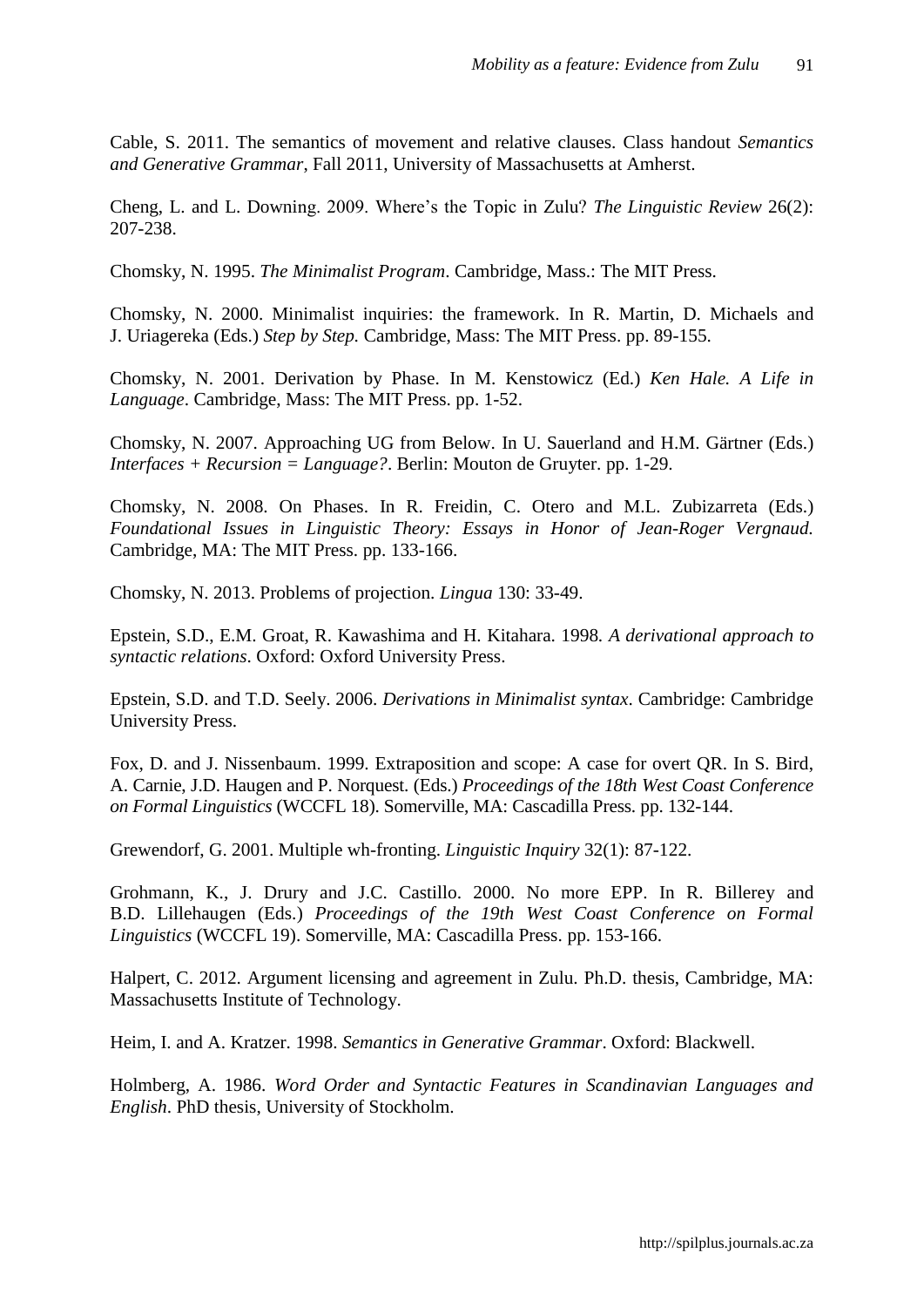Cable, S. 2011. The semantics of movement and relative clauses. Class handout *Semantics and Generative Grammar*, Fall 2011, University of Massachusetts at Amherst.

Cheng, L. and L. Downing. 2009. Where"s the Topic in Zulu? *The Linguistic Review* 26(2): 207-238.

Chomsky, N. 1995. *The Minimalist Program*. Cambridge, Mass.: The MIT Press.

Chomsky, N. 2000. Minimalist inquiries: the framework. In R. Martin, D. Michaels and J. Uriagereka (Eds.) *Step by Step.* Cambridge, Mass: The MIT Press. pp. 89-155.

Chomsky, N. 2001. Derivation by Phase. In M. Kenstowicz (Ed.) *Ken Hale. A Life in Language*. Cambridge, Mass: The MIT Press. pp. 1-52.

Chomsky, N. 2007. Approaching UG from Below. In U. Sauerland and H.M. Gärtner (Eds.) *Interfaces + Recursion = Language?*. Berlin: Mouton de Gruyter. pp. 1-29.

Chomsky, N. 2008. On Phases. In R. Freidin, C. Otero and M.L. Zubizarreta (Eds.) *Foundational Issues in Linguistic Theory: Essays in Honor of Jean-Roger Vergnaud.* Cambridge, MA: The MIT Press. pp. 133-166.

Chomsky, N. 2013. Problems of projection. *Lingua* 130: 33-49.

Epstein, S.D., E.M. Groat, R. Kawashima and H. Kitahara. 1998*. A derivational approach to syntactic relations*. Oxford: Oxford University Press.

Epstein, S.D. and T.D. Seely. 2006. *Derivations in Minimalist syntax*. Cambridge: Cambridge University Press.

Fox, D. and J. Nissenbaum. 1999. Extraposition and scope: A case for overt QR. In S. Bird, A. Carnie, J.D. Haugen and P. Norquest. (Eds.) *Proceedings of the 18th West Coast Conference on Formal Linguistics* (WCCFL 18). Somerville, MA: Cascadilla Press. pp. 132-144.

Grewendorf, G. 2001. Multiple wh-fronting. *Linguistic Inquiry* 32(1): 87-122.

Grohmann, K., J. Drury and J.C. Castillo. 2000. No more EPP. In R. Billerey and B.D. Lillehaugen (Eds.) *Proceedings of the 19th West Coast Conference on Formal Linguistics* (WCCFL 19). Somerville, MA: Cascadilla Press. pp. 153-166.

Halpert, C. 2012. Argument licensing and agreement in Zulu. Ph.D. thesis, Cambridge, MA: Massachusetts Institute of Technology.

Heim, I. and A. Kratzer. 1998. *Semantics in Generative Grammar*. Oxford: Blackwell.

Holmberg, A. 1986. *Word Order and Syntactic Features in Scandinavian Languages and English*. PhD thesis, University of Stockholm.